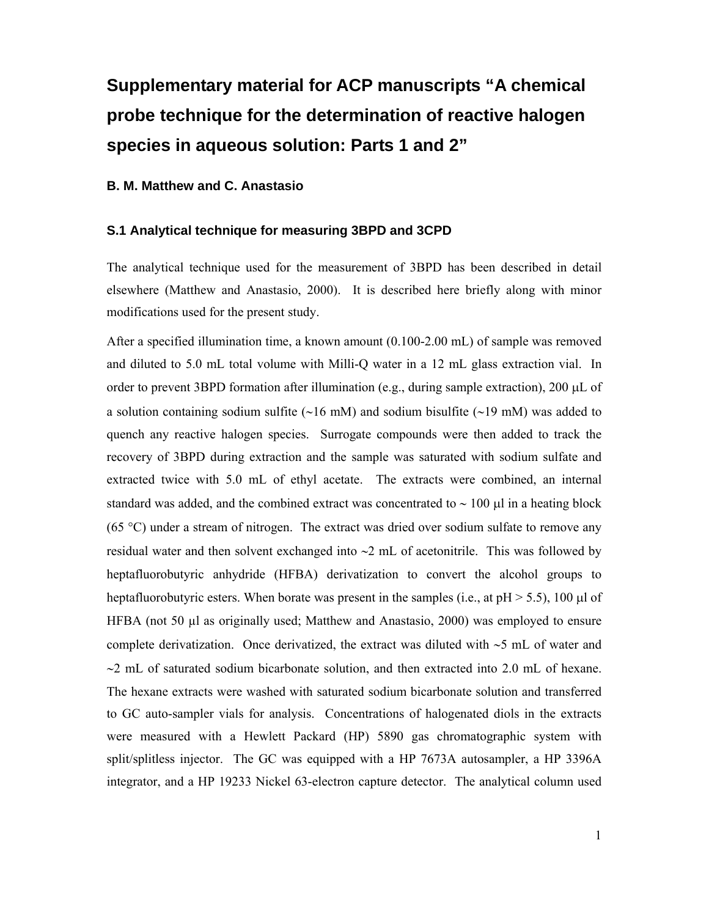# **Supplementary material for ACP manuscripts "A chemical probe technique for the determination of reactive halogen species in aqueous solution: Parts 1 and 2"**

#### **B. M. Matthew and C. Anastasio**

#### **S.1 Analytical technique for measuring 3BPD and 3CPD**

The analytical technique used for the measurement of 3BPD has been described in detail elsewhere (Matthew and Anastasio, 2000). It is described here briefly along with minor modifications used for the present study.

After a specified illumination time, a known amount (0.100-2.00 mL) of sample was removed and diluted to 5.0 mL total volume with Milli-Q water in a 12 mL glass extraction vial. In order to prevent 3BPD formation after illumination (e.g., during sample extraction), 200  $\mu$ L of a solution containing sodium sulfite (∼16 mM) and sodium bisulfite (∼19 mM) was added to quench any reactive halogen species. Surrogate compounds were then added to track the recovery of 3BPD during extraction and the sample was saturated with sodium sulfate and extracted twice with 5.0 mL of ethyl acetate. The extracts were combined, an internal standard was added, and the combined extract was concentrated to ∼ 100 μl in a heating block (65 °C) under a stream of nitrogen. The extract was dried over sodium sulfate to remove any residual water and then solvent exchanged into ∼2 mL of acetonitrile. This was followed by heptafluorobutyric anhydride (HFBA) derivatization to convert the alcohol groups to heptafluorobutyric esters. When borate was present in the samples (i.e., at  $pH > 5.5$ ), 100 µl of HFBA (not 50 µl as originally used; Matthew and Anastasio, 2000) was employed to ensure complete derivatization. Once derivatized, the extract was diluted with ∼5 mL of water and ∼2 mL of saturated sodium bicarbonate solution, and then extracted into 2.0 mL of hexane. The hexane extracts were washed with saturated sodium bicarbonate solution and transferred to GC auto-sampler vials for analysis. Concentrations of halogenated diols in the extracts were measured with a Hewlett Packard (HP) 5890 gas chromatographic system with split/splitless injector. The GC was equipped with a HP 7673A autosampler, a HP 3396A integrator, and a HP 19233 Nickel 63-electron capture detector. The analytical column used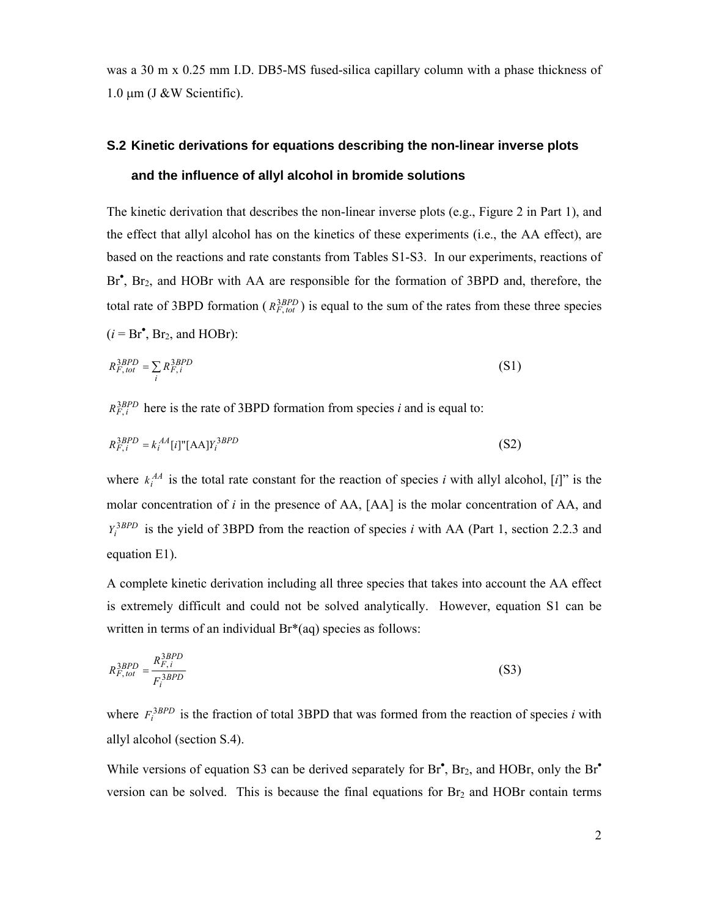was a 30 m x 0.25 mm I.D. DB5-MS fused-silica capillary column with a phase thickness of 1.0 μm (J &W Scientific).

## **S.2 Kinetic derivations for equations describing the non-linear inverse plots and the influence of allyl alcohol in bromide solutions**

The kinetic derivation that describes the non-linear inverse plots (e.g., Figure 2 in Part 1), and the effect that allyl alcohol has on the kinetics of these experiments (i.e., the AA effect), are based on the reactions and rate constants from Tables S1-S3. In our experiments, reactions of Br<sup>•</sup>, Br<sub>2</sub>, and HOBr with AA are responsible for the formation of 3BPD and, therefore, the total rate of 3BPD formation ( $R_{F, tot}^{3BPD}$ ) is equal to the sum of the rates from these three species  $(i = Br<sup>•</sup>, Br<sub>2</sub>, and HOBr):$ 

$$
R_{F, tot}^{3BPD} = \sum_{i} R_{F,i}^{3BPD} \tag{S1}
$$

 $R_{F,i}^{3BPD}$  here is the rate of 3BPD formation from species *i* and is equal to:

$$
R_{F,i}^{3BPD} = k_i^{AA}[i] \cdot \left[ [AA] \right]_{i}^{3BPD} \tag{S2}
$$

where  $k_i^{A}$  is the total rate constant for the reaction of species *i* with allyl alcohol, [*i*]" is the molar concentration of *i* in the presence of AA, [AA] is the molar concentration of AA, and  $Y_i^{3BPD}$  is the yield of 3BPD from the reaction of species *i* with AA (Part 1, section 2.2.3 and equation E1).

A complete kinetic derivation including all three species that takes into account the AA effect is extremely difficult and could not be solved analytically. However, equation S1 can be written in terms of an individual Br<sup>\*</sup>(aq) species as follows:

$$
R_{F, tot}^{3BPD} = \frac{R_{F,i}^{3BPD}}{F_i^{3BPD}}
$$
(S3)

where  $F_i^{3BPD}$  is the fraction of total 3BPD that was formed from the reaction of species *i* with allyl alcohol (section S.4).

While versions of equation S3 can be derived separately for  $Br^{\bullet}$ ,  $Br_2$ , and HOBr, only the  $Br^{\bullet}$ version can be solved. This is because the final equations for  $Br<sub>2</sub>$  and HOBr contain terms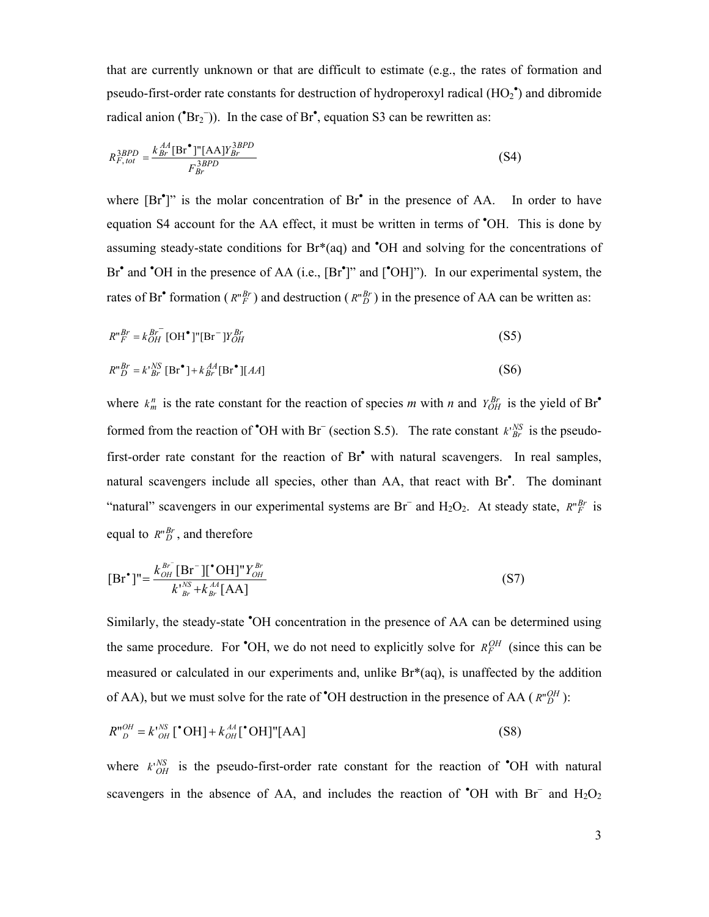that are currently unknown or that are difficult to estimate (e.g., the rates of formation and pseudo-first-order rate constants for destruction of hydroperoxyl radical (HO<sub>2</sub><sup>\*</sup>) and dibromide radical anion ( ${}^{\bullet}Br_2$ )). In the case of Br<sup>•</sup>, equation S3 can be rewritten as:

$$
R_{F,tot}^{3BPD} = \frac{k_{Br}^{AA}[\text{Br}^{\bullet}]^{T}[AA]Y_{Br}^{3BPD}}{F_{Br}^{3BPD}}
$$
(S4)

where  $[Br^{\bullet}]$ " is the molar concentration of  $Br^{\bullet}$  in the presence of AA. In order to have equation S4 account for the AA effect, it must be written in terms of • OH. This is done by assuming steady-state conditions for Br\*(aq) and • OH and solving for the concentrations of Br<sup>•</sup> and <sup>•</sup>OH in the presence of AA (i.e., [Br<sup>•</sup>]" and [<sup>•</sup>OH]"). In our experimental system, the rates of Br<sup>•</sup> formation ( $R^n F$ ) and destruction ( $R^n D$ ) in the presence of AA can be written as:

$$
R^n \, R^n = k \, \frac{Br}{CH} \left[ \text{OH}^{\bullet} \right] \text{''} \left[ \text{Br}^{-} \right] \, Y_{OH} \tag{S5}
$$

$$
R^{\prime\prime}{}_{D}^{Br} = k^{\prime}{}_{Br}^{NS} \left[ \text{Br}^{\bullet} \right] + k^{\,AA}_{Br} \left[ \text{Br}^{\bullet} \right] \left[ A A \right] \tag{S6}
$$

where  $k_m^n$  is the rate constant for the reaction of species *m* with *n* and  $Y_{OH}^{Br}$  is the yield of Br<sup>•</sup> formed from the reaction of <sup>\*</sup>OH with Br<sup>−</sup> (section S.5). The rate constant  $k_{Br}^{NS}$  is the pseudofirst-order rate constant for the reaction of Br<sup>•</sup> with natural scavengers. In real samples, natural scavengers include all species, other than AA, that react with Br<sup>•</sup>. The dominant "natural" scavengers in our experimental systems are Br<sup>−</sup> and H<sub>2</sub>O<sub>2</sub>. At steady state,  $R^n{}_F^{Br}$  is equal to  $R \binom{Br}{D}$ , and therefore

$$
[\text{Br}^{\bullet}]'' = \frac{k_{OH}^{Br^-}[\text{Br}^-][{}^{\bullet}\text{OH}]''Y_{OH}^{Br}}{k_{Br}^{N} + k_{Br}^{AA}[\text{AA}]}
$$
(S7)

Similarly, the steady-state • OH concentration in the presence of AA can be determined using the same procedure. For  $\text{OH}$ , we do not need to explicitly solve for  $R_F^{OH}$  (since this can be measured or calculated in our experiments and, unlike Br\*(aq), is unaffected by the addition of AA), but we must solve for the rate of <sup>\*</sup>OH destruction in the presence of AA ( $R_{D}^{nQH}$ ):

$$
R^{\prime\prime}_{\phantom{\prime}D}^{\prime\prime\prime} = k^{\prime\prime}_{\phantom{\prime}OH}^{\prime\prime\prime} \left[ \mathbf{^*OH} \right] + k^{\phantom{\prime}AA}_{\phantom{\prime}OH} \left[ \mathbf{^*OH} \right] \cdot \left[ \mathbf{AA} \right] \tag{S8}
$$

where  $k_{OH}^{NS}$  is the pseudo-first-order rate constant for the reaction of  $\text{OH}$  with natural scavengers in the absence of AA, and includes the reaction of  $\textdegree$ OH with Br<sup>−</sup> and H<sub>2</sub>O<sub>2</sub>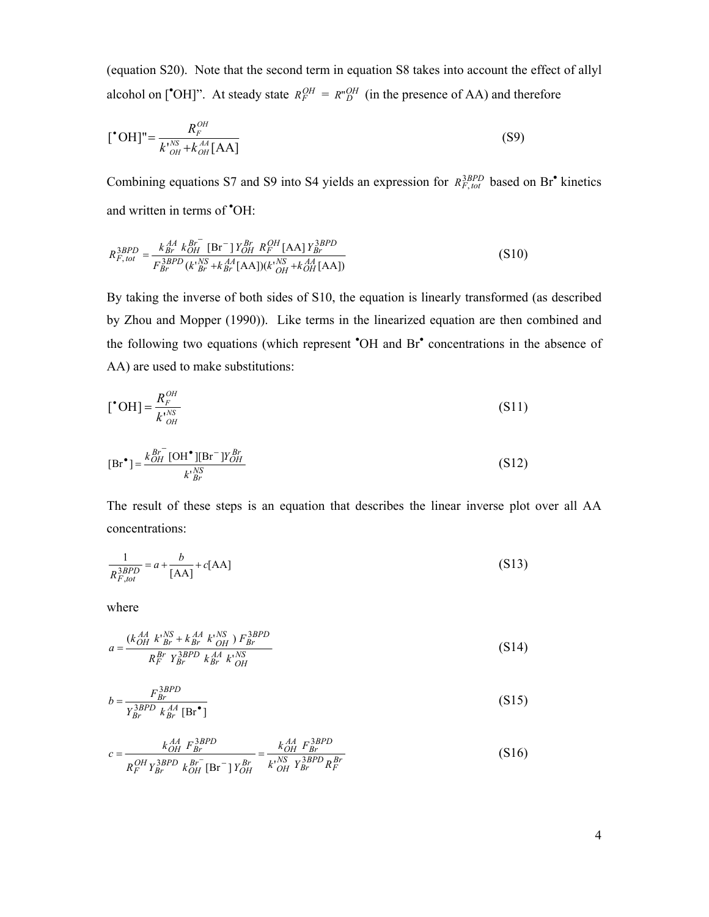(equation S20). Note that the second term in equation S8 takes into account the effect of allyl alcohol on [<sup>\*</sup>OH]". At steady state  $R_F^{OH} = R_{D}^{O} H$  (in the presence of AA) and therefore

$$
[°OH]'' = \frac{R_F^{OH}}{k_{OH}^{NS} + k_{OH}^{AA}[\text{AA}]}
$$
(S9)

Combining equations S7 and S9 into S4 yields an expression for  $R_{F, tot}^{3BPD}$  based on Br<sup>•</sup> kinetics and written in terms of • OH:

$$
R_{F,tot}^{3BPD} = \frac{k_{Br}^{AA} k_{OH}^{Br}}{F_{Br}^{3BPD}(k_{Br}^{NS} + k_{Br}^{AA}[\text{AA}]) (k_{OH}^{NS} + k_{OH}^{AA}[\text{AA}])} \tag{S10}
$$

By taking the inverse of both sides of S10, the equation is linearly transformed (as described by Zhou and Mopper (1990)). Like terms in the linearized equation are then combined and the following two equations (which represent 'OH and Br' concentrations in the absence of AA) are used to make substitutions:

$$
[°OH] = \frac{R_F^{OH}}{k_{OH}^{NS}} \tag{S11}
$$

$$
[\text{Br}^{\bullet}] = \frac{k_{OH}^{Br^{-}}[\text{OH}^{\bullet}][\text{Br}^-]Y_{OH}^{Br}}{k_{Br}^{NS}}
$$
(S12)

The result of these steps is an equation that describes the linear inverse plot over all AA concentrations:

$$
\frac{1}{R_{F, tot}^{3BPD}} = a + \frac{b}{[AA]} + c[AA]
$$
\n(S13)

where

$$
a = \frac{(k_{OH}^{AA} k_{Br}^{NS} + k_{Br}^{AA} k_{OH}^{NS}) F_{Br}^{3BPD}}{R_F^{Br} Y_{Br}^{3BPD} k_{Br}^{AA} k_{OH}^{NS}}
$$
(S14)

$$
b = \frac{F_{Br}^{3BPD}}{Y_{Br}^{3BPD} k_{Br}^{AA} [\text{Br}^{\bullet}]}
$$
(S15)

$$
c = \frac{k_{OH}^{AA} F_{Br}^{3BPD}}{R_F^{OH} Y_{Br}^{3BPD} k_{OH}^{Br} [\text{Br}^-] Y_{OH}^{Br}} = \frac{k_{OH}^{AA} F_{Br}^{3BPD}}{k_{OH}^{NS} Y_{Br}^{3BPD} R_F^{Br}}
$$
(S16)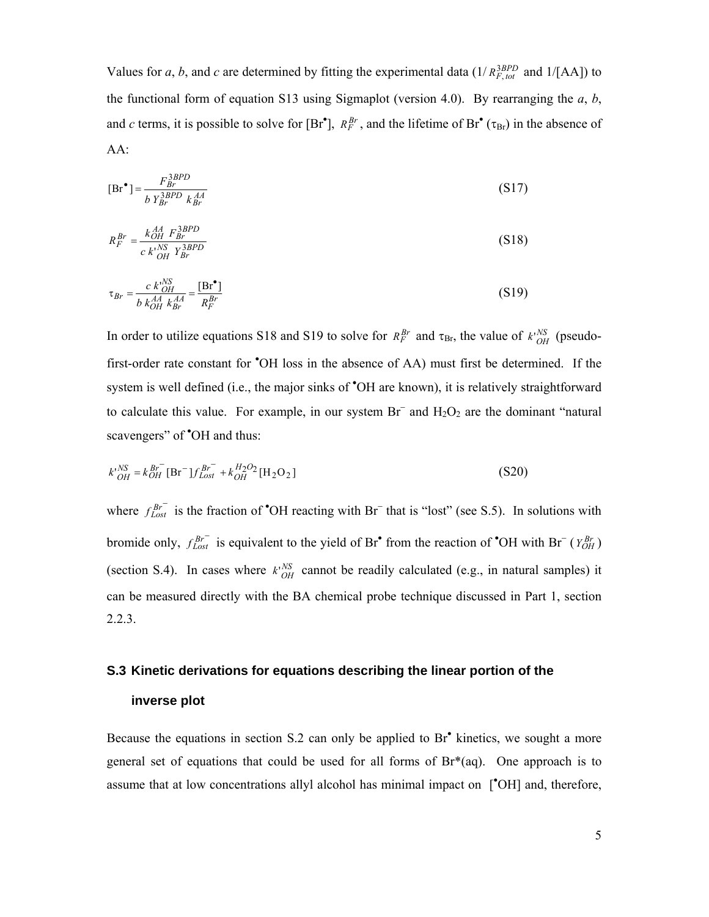Values for *a*, *b*, and *c* are determined by fitting the experimental data (1/ $R_{F, tot}^{3BPD}$  and 1/[AA]) to the functional form of equation S13 using Sigmaplot (version 4.0). By rearranging the *a*, *b*, and *c* terms, it is possible to solve for [Br<sup>•</sup>],  $R_F^{Br}$ , and the lifetime of Br<sup>•</sup> ( $\tau_{Br}$ ) in the absence of AA:

$$
[\text{Br}^{\bullet}] = \frac{F_{Br}^{3BPD}}{b \ Y_{Br}^{3BPD} \ k_{Br}^{AA}} \tag{S17}
$$

$$
R_F^{Br} = \frac{k_{OH}^{AA} F_{Br}^{3BPD}}{c \; k_{OH}^{NS} Y_{Br}^{3BPD}}
$$
(S18)

$$
\tau_{Br} = \frac{c \; k_{OH}^{NS}}{b \; k_{OH}^{AA} \; k_{Br}^{AA}} = \frac{[\mathbf{Br}^{\bullet}]}{R_F^{Br}}
$$
\n
$$
\tag{S19}
$$

In order to utilize equations S18 and S19 to solve for  $R_F^{Br}$  and  $\tau_{Br}$ , the value of  $k_{OH}^{NS}$  (pseudofirst-order rate constant for • OH loss in the absence of AA) must first be determined. If the system is well defined (i.e., the major sinks of 'OH are known), it is relatively straightforward to calculate this value. For example, in our system  $Br^-$  and  $H_2O_2$  are the dominant "natural" scavengers" of  $^{\bullet}$ OH and thus:

$$
k^{\prime}{}_{OH}^{NS} = k_{OH}^{Br^-} [Br^-] f_{Lost}^{Br^-} + k_{OH}^{H_2O_2} [H_2O_2]
$$
 (S20)

where  $f_{Lost}^{Br^-}$  is the fraction of <sup>•</sup>OH reacting with Br<sup>−</sup> that is "lost" (see S.5). In solutions with bromide only,  $f_{Lost}^{Br}$  is equivalent to the yield of Br<sup>•</sup> from the reaction of <sup>•</sup>OH with Br<sup>−</sup> ( $Y_{OH}^{Br}$ ) (section S.4). In cases where  $k_{OH}^{NS}$  cannot be readily calculated (e.g., in natural samples) it can be measured directly with the BA chemical probe technique discussed in Part 1, section 2.2.3.

## **S.3 Kinetic derivations for equations describing the linear portion of the inverse plot**

Because the equations in section S.2 can only be applied to Br<sup>•</sup> kinetics, we sought a more general set of equations that could be used for all forms of  $Br<sup>*</sup>(aq)$ . One approach is to assume that at low concentrations allyl alcohol has minimal impact on [<sup>•</sup>OH] and, therefore,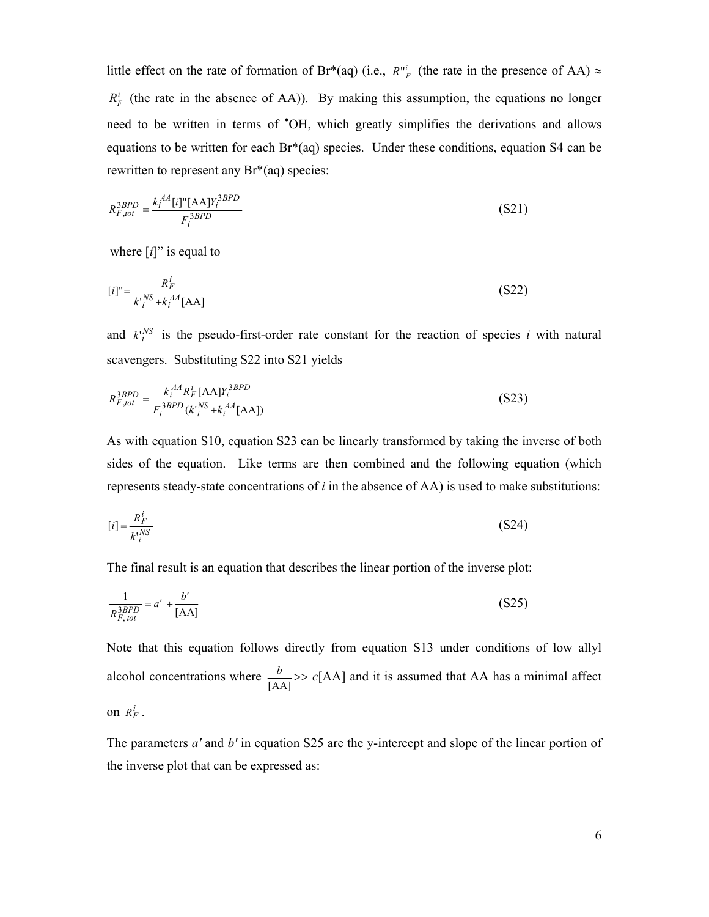little effect on the rate of formation of Br\*(aq) (i.e.,  $R^{n_i}_{F}$  (the rate in the presence of AA)  $\approx$  $R_F^i$  (the rate in the absence of AA)). By making this assumption, the equations no longer need to be written in terms of • OH, which greatly simplifies the derivations and allows equations to be written for each Br\*(aq) species. Under these conditions, equation S4 can be rewritten to represent any Br\*(aq) species:

$$
R_{F, tot}^{3BPD} = \frac{k_i^{AA}[i] \cdot \left[\text{AA}\right] Y_i^{3BPD}}{F_i^{3BPD}}\tag{S21}
$$

where  $[i]$ " is equal to

$$
[i] = \frac{R_F^i}{k_i^{NS} + k_i^{AA}[\text{AA}]}
$$
(S22)

and  $k_i^{NS}$  is the pseudo-first-order rate constant for the reaction of species *i* with natural scavengers. Substituting S22 into S21 yields

$$
R_{F, tot}^{3BPD} = \frac{k_i^{AA} R_F^i [AA] Y_i^{3BPD}}{F_i^{3BPD} (k_i^{NS} + k_i^{AA} [AA])}
$$
(S23)

As with equation S10, equation S23 can be linearly transformed by taking the inverse of both sides of the equation. Like terms are then combined and the following equation (which represents steady-state concentrations of *i* in the absence of AA) is used to make substitutions:

$$
[i] = \frac{R_F^i}{k_i^{NS}}\tag{S24}
$$

The final result is an equation that describes the linear portion of the inverse plot:

$$
\frac{1}{R_{F, tot}^{3BPD}} = a' + \frac{b'}{[AA]}
$$
(S25)

Note that this equation follows directly from equation S13 under conditions of low allyl alcohol concentrations where  $\frac{v}{[AA]}$  $\frac{b}{\sqrt{2}}$  >> *c*[AA] and it is assumed that AA has a minimal affect on  $R_F^i$ .

The parameters *a′* and *b′* in equation S25 are the y-intercept and slope of the linear portion of the inverse plot that can be expressed as: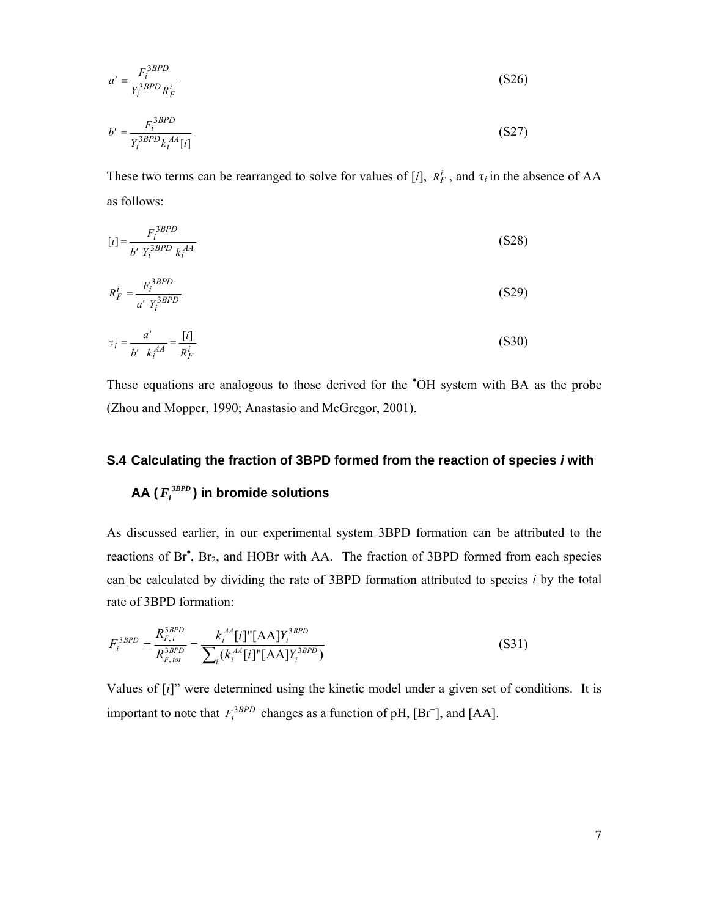$$
a' = \frac{F_i^{3BPD}}{Y_i^{3BPD} R_F^i}
$$
 (S26)

$$
b' = \frac{F_i^{3BPD}}{Y_i^{3BPD} k_i^{AA}[i]}
$$
 (S27)

These two terms can be rearranged to solve for values of [*i*],  $R_F^i$ , and  $\tau_i$  in the absence of AA as follows:

$$
[i] = \frac{F_i^{3BPD}}{b' Y_i^{3BPD} k_i^{AA}}
$$
(S28)

$$
R_F^i = \frac{F_i^{3BPD}}{a' Y_i^{3BPD}}
$$
(S29)

$$
\tau_i = \frac{a'}{b' \ k_i^{AA}} = \frac{[i]}{R_F^i}
$$
 (S30)

These equations are analogous to those derived for the <sup>\*</sup>OH system with BA as the probe (Zhou and Mopper, 1990; Anastasio and McGregor, 2001).

#### **S.4 Calculating the fraction of 3BPD formed from the reaction of species** *i* **with**

### AA ( $F_i^{3BPD}$ ) in bromide solutions

As discussed earlier, in our experimental system 3BPD formation can be attributed to the reactions of Br<sup>•</sup>, Br<sub>2</sub>, and HOBr with AA. The fraction of 3BPD formed from each species can be calculated by dividing the rate of 3BPD formation attributed to species *i* by the total rate of 3BPD formation:

$$
F_i^{3BPD} = \frac{R_{F,i}^{3BPD}}{R_{F,iot}^{3BPD}} = \frac{k_i^{AA}[i] \cdot [(AA] Y_i^{3BPD}}{\sum_i (k_i^{AA}[i] \cdot [(AA] Y_i^{3BPD})} \tag{S31}
$$

Values of [*i*]" were determined using the kinetic model under a given set of conditions. It is important to note that  $F_i^{3BPD}$  changes as a function of pH, [Br<sup>-</sup>], and [AA].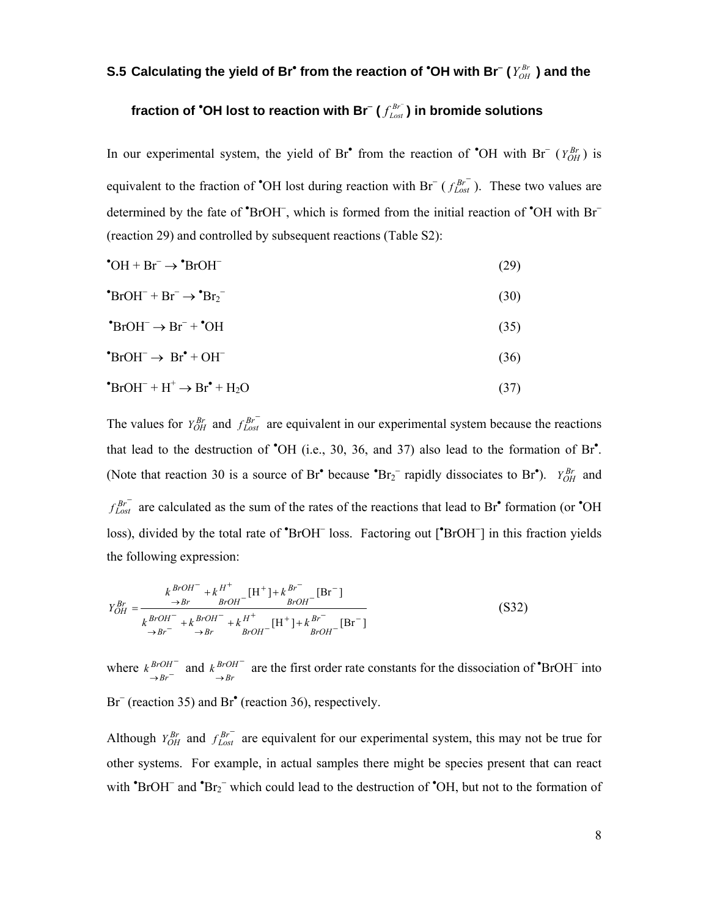### **S.5 Calculating the yield of Br<sup>•</sup> from the reaction of <sup>•</sup>OH with Br<sup>−</sup> (** $Y_{OH}^{Br}$  **) and the**

### **fraction of** • **OH lost to reaction with Br**<sup>−</sup>  **(** <sup>−</sup> *Br Lost f* **) in bromide solutions**

In our experimental system, the yield of Br<sup>•</sup> from the reaction of <sup>•</sup>OH with Br<sup>-</sup> ( $Y_{OH}^{Br}$ ) is equivalent to the fraction of <sup>•</sup>OH lost during reaction with Br<sup>−</sup> ( $f_{Lost}^{Br}$ ). These two values are determined by the fate of 'BrOH<sup>-</sup>, which is formed from the initial reaction of 'OH with Br<sup>-</sup> (reaction 29) and controlled by subsequent reactions (Table S2):

| $\bullet$ OH + Br <sup>-</sup> $\rightarrow$ $\bullet$ BrOH <sup>-</sup>                           | (29) |
|----------------------------------------------------------------------------------------------------|------|
| $\bullet$ BrOH <sup>-</sup> + Br <sup>-</sup> $\rightarrow$ $\bullet$ Br <sub>2</sub> <sup>-</sup> | (30) |
| $\text{BrOH}^- \rightarrow \text{Br}^- + \text{O} + \text{OH}$                                     | (35) |
| $\text{BrOH}^- \rightarrow \text{Br}^{\bullet} + \text{OH}^-$                                      | (36) |
| $\bullet$ BrOH <sup>-</sup> + H <sup>+</sup> $\rightarrow$ Br $\bullet$ + H <sub>2</sub> O         | (37) |

The values for  $Y_{OH}^{Br}$  and  $f_{Lost}^{Br}$  are equivalent in our experimental system because the reactions that lead to the destruction of  $\textdegree\textnormal{OH}$  (i.e., 30, 36, and 37) also lead to the formation of Br $\textdegree$ . (Note that reaction 30 is a source of Br<sup>•</sup> because  ${}^{\bullet}Br_2^-$  rapidly dissociates to Br<sup>•</sup>). *Y<sub>OH</sub>* and  $f_{Lost}^{Br}$  are calculated as the sum of the rates of the reactions that lead to Br<sup>•</sup> formation (or <sup>•</sup>OH loss), divided by the total rate of 'BrOH<sup>-</sup> loss. Factoring out ['BrOH<sup>-</sup>] in this fraction yields the following expression:

$$
Y_{OH}^{Br} = \frac{k_{B'OH}^{BrOH} + k_{B'OH}^{H^{+}}}{k_{B'OH}^{BrOH} + k_{B'OH}^{BrOH} + k_{B'OH}^{H^{+}} - (H^{+}) + k_{B'OH}^{Br}}}{k_{B'OH}^{BrOH} + k_{B'OH}^{H^{+}} - (H^{+}) + k_{B'OH}^{Br} - (Br^{-})}
$$
(S32)

where  $k_{\rightarrow Br^{-}}^{BrOH^{-}}$ *BrOH*  $k \frac{BrOH^{-}}{\rightarrow Br^{-}}$  and  $k \frac{BrOH^{-}}{\rightarrow Br}$ *BrOH*  $k^{BrOH^-}$  are the first order rate constants for the dissociation of  $\text{BrOH}^-$  into  $\rightarrow$ Br<sup>−</sup> (reaction 35) and Br<sup>•</sup> (reaction 36), respectively.

Although  $Y_{OH}^{Br}$  and  $f_{Lost}^{Br}$  are equivalent for our experimental system, this may not be true for other systems. For example, in actual samples there might be species present that can react with "BrOH<sup>-</sup> and "Br<sub>2</sub><sup>-</sup> which could lead to the destruction of "OH, but not to the formation of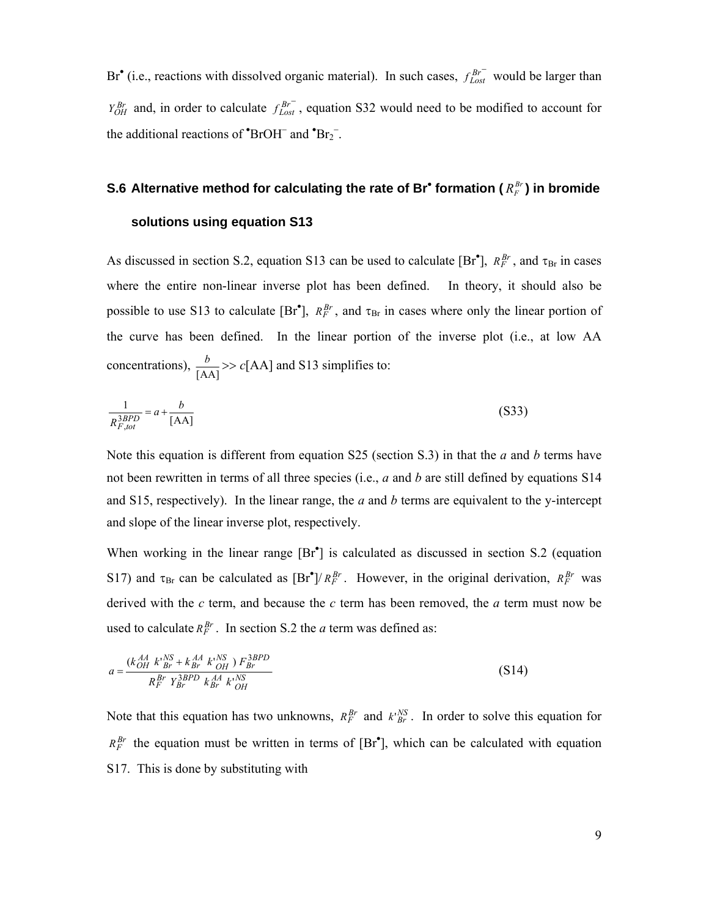Br<sup>•</sup> (i.e., reactions with dissolved organic material). In such cases,  $f_{\text{Lost}}^{Br}$  would be larger than  $Y_{OH}^{Br}$  and, in order to calculate  $f_{Lost}^{Br}$ , equation S32 would need to be modified to account for the additional reactions of  $^{\bullet}$ BrOH<sup>-</sup> and  $^{\bullet}$ Br<sub>2</sub><sup>-</sup>.

### S.6 Alternative method for calculating the rate of Br<sup>•</sup> formation ( $R_F^{Br}$ ) in bromide

#### **solutions using equation S13**

As discussed in section S.2, equation S13 can be used to calculate [Br<sup>•</sup>],  $R_F^{Br}$ , and  $\tau_{Br}$  in cases where the entire non-linear inverse plot has been defined. In theory, it should also be possible to use S13 to calculate [Br<sup>\*</sup>],  $R_F^{Br}$ , and  $\tau_{Br}$  in cases where only the linear portion of the curve has been defined. In the linear portion of the inverse plot (i.e., at low AA concentrations),  $\frac{b}{[AA]} \gg c[AA]$  and S13 simplifies to:

$$
\frac{1}{R_{F, tot}^{3BPD}} = a + \frac{b}{[AA]}
$$
(S33)

Note this equation is different from equation S25 (section S.3) in that the *a* and *b* terms have not been rewritten in terms of all three species (i.e., *a* and *b* are still defined by equations S14 and S15, respectively). In the linear range, the *a* and *b* terms are equivalent to the y-intercept and slope of the linear inverse plot, respectively.

When working in the linear range [Br<sup>\*</sup>] is calculated as discussed in section S.2 (equation S17) and  $\tau_{\text{Br}}$  can be calculated as  $[Br^{\bullet}]/R_F^{Br}$ . However, in the original derivation,  $R_F^{Br}$  was derived with the *c* term, and because the *c* term has been removed, the *a* term must now be used to calculate  $R_F^{Br}$ . In section S.2 the *a* term was defined as:

$$
a = \frac{(k_{OH}^{AA} k_{Br}^{NS} + k_{Br}^{AA} k_{OH}^{NS}) F_{Br}^{3BPD}}{R_F^{Br} Y_{Br}^{3BPD} k_{Br}^{AA} k_{OH}^{NS}}
$$
(S14)

Note that this equation has two unknowns,  $R_F^{Br}$  and  $k_{Br}^{NS}$ . In order to solve this equation for  $R_F^{Br}$  the equation must be written in terms of [Br<sup>•</sup>], which can be calculated with equation S17. This is done by substituting with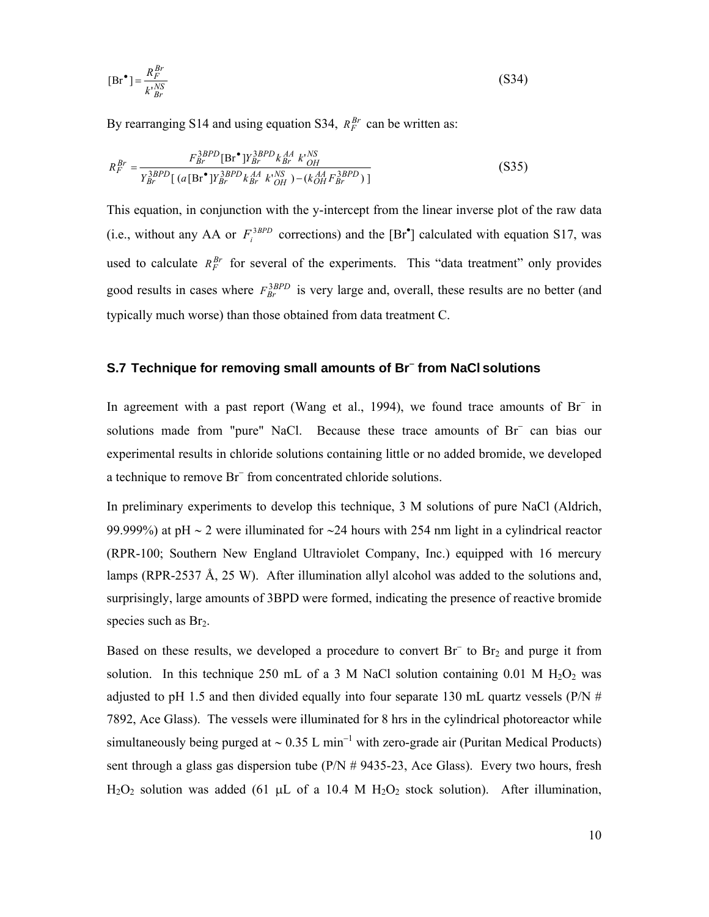$$
[\text{Br}^{\bullet}] = \frac{R_F^{Br}}{k_{Br}^{NS}} \tag{S34}
$$

By rearranging S14 and using equation S34,  $R_F^{Br}$  can be written as:

$$
R_F^{Br} = \frac{F_{Br}^{3BPD}[\text{Br}^{\bullet}]Y_{Br}^{3BPD}k_{Br}^{AA}k_{OH}^{NS}}{Y_{Br}^{3BPD}[(a[\text{Br}^{\bullet}]Y_{Br}^{3BPD}k_{Br}^{AA}k_{OH}^{NS}) - (k_{OH}^{AA}F_{Br}^{3BPD})]}
$$
(S35)

This equation, in conjunction with the y-intercept from the linear inverse plot of the raw data (i.e., without any AA or  $F_i^{3BPD}$  corrections) and the [Br<sup>•</sup>] calculated with equation S17, was used to calculate  $R_F^{Br}$  for several of the experiments. This "data treatment" only provides good results in cases where  $F_{Br}^{3BPD}$  is very large and, overall, these results are no better (and typically much worse) than those obtained from data treatment C.

#### **S.7 Technique for removing small amounts of Br**<sup>−</sup>  **from NaCl solutions**

In agreement with a past report (Wang et al., 1994), we found trace amounts of Br<sup>−</sup> in solutions made from "pure" NaCl. Because these trace amounts of Br<sup>−</sup> can bias our experimental results in chloride solutions containing little or no added bromide, we developed a technique to remove Br<sup>−</sup> from concentrated chloride solutions.

In preliminary experiments to develop this technique, 3 M solutions of pure NaCl (Aldrich, 99.999%) at pH ∼ 2 were illuminated for ∼24 hours with 254 nm light in a cylindrical reactor (RPR-100; Southern New England Ultraviolet Company, Inc.) equipped with 16 mercury lamps (RPR-2537 Å, 25 W). After illumination allyl alcohol was added to the solutions and, surprisingly, large amounts of 3BPD were formed, indicating the presence of reactive bromide species such as  $Br<sub>2</sub>$ .

Based on these results, we developed a procedure to convert Br<sup>−</sup> to Br<sub>2</sub> and purge it from solution. In this technique 250 mL of a 3 M NaCl solution containing 0.01 M  $H_2O_2$  was adjusted to pH 1.5 and then divided equally into four separate 130 mL quartz vessels (P/N  $#$ 7892, Ace Glass). The vessels were illuminated for 8 hrs in the cylindrical photoreactor while simultaneously being purged at  $\sim 0.35$  L min<sup>-1</sup> with zero-grade air (Puritan Medical Products) sent through a glass gas dispersion tube ( $P/N \neq 9435-23$ , Ace Glass). Every two hours, fresh H<sub>2</sub>O<sub>2</sub> solution was added (61 μL of a 10.4 M H<sub>2</sub>O<sub>2</sub> stock solution). After illumination,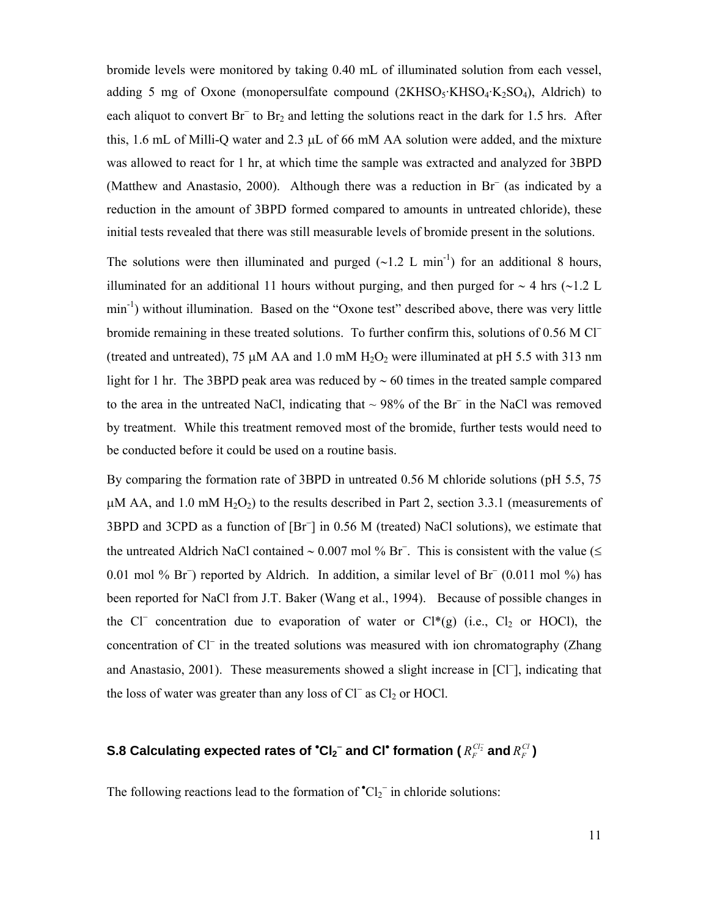bromide levels were monitored by taking 0.40 mL of illuminated solution from each vessel, adding 5 mg of Oxone (monopersulfate compound  $(2KHSO<sub>5</sub>·KHSO<sub>4</sub>·K<sub>2</sub>SO<sub>4</sub>)$ , Aldrich) to each aliquot to convert Br<sup>−</sup> to Br<sub>2</sub> and letting the solutions react in the dark for 1.5 hrs. After this, 1.6 mL of Milli-Q water and 2.3 μL of 66 mM AA solution were added, and the mixture was allowed to react for 1 hr, at which time the sample was extracted and analyzed for 3BPD (Matthew and Anastasio, 2000). Although there was a reduction in Br<sup>−</sup> (as indicated by a reduction in the amount of 3BPD formed compared to amounts in untreated chloride), these initial tests revealed that there was still measurable levels of bromide present in the solutions.

The solutions were then illuminated and purged ( $\sim$ 1.2 L min<sup>-1</sup>) for an additional 8 hours, illuminated for an additional 11 hours without purging, and then purged for ∼ 4 hrs (∼1.2 L min-1) without illumination. Based on the "Oxone test" described above, there was very little bromide remaining in these treated solutions. To further confirm this, solutions of 0.56 M Cl<sup>−</sup> (treated and untreated), 75  $\mu$ M AA and 1.0 mM  $H_2O_2$  were illuminated at pH 5.5 with 313 nm light for 1 hr. The 3BPD peak area was reduced by ∼ 60 times in the treated sample compared to the area in the untreated NaCl, indicating that ~ 98% of the Br<sup>−</sup> in the NaCl was removed by treatment. While this treatment removed most of the bromide, further tests would need to be conducted before it could be used on a routine basis.

By comparing the formation rate of 3BPD in untreated 0.56 M chloride solutions (pH 5.5, 75  $\mu$ M AA, and 1.0 mM H<sub>2</sub>O<sub>2</sub>) to the results described in Part 2, section 3.3.1 (measurements of 3BPD and 3CPD as a function of [Br<sup>−</sup> ] in 0.56 M (treated) NaCl solutions), we estimate that the untreated Aldrich NaCl contained ∼ 0.007 mol % Br<sup>−</sup> . This is consistent with the value (≤ 0.01 mol % Br<sup>−</sup> ) reported by Aldrich. In addition, a similar level of Br<sup>−</sup> (0.011 mol %) has been reported for NaCl from J.T. Baker (Wang et al., 1994). Because of possible changes in the Cl<sup>−</sup> concentration due to evaporation of water or Cl\*(g) (i.e., Cl<sub>2</sub> or HOCl), the concentration of Cl<sup>−</sup> in the treated solutions was measured with ion chromatography (Zhang and Anastasio, 2001). These measurements showed a slight increase in [Cl<sup>−</sup> ], indicating that the loss of water was greater than any loss of Cl<sup>−</sup> as Cl<sub>2</sub> or HOCl.

### S.8 Calculating expected rates of  ${{}^{\bullet} \mathbf{Cl}_2}^-$  and Cl ${{}^{\bullet}$  formation (  $R_F^{Cl_2^-}$  and  $R_F^{Cl}$  )

The following reactions lead to the formation of  $^{\bullet}Cl_{2}^-$  in chloride solutions: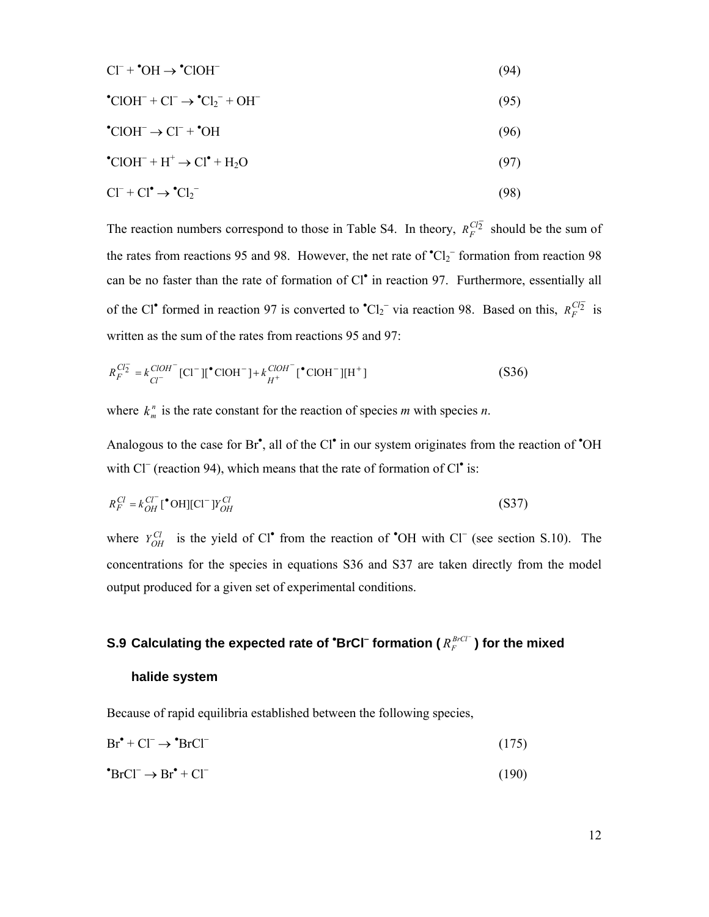| $Cl^-$ + $^{\bullet}OH \rightarrow ^{\bullet}ClOH^-$                                                                       | (94) |
|----------------------------------------------------------------------------------------------------------------------------|------|
| $^{\bullet}$ ClOH <sup>-</sup> + Cl <sup>-</sup> $\rightarrow$ $^{\bullet}$ Cl <sub>2</sub> <sup>-</sup> + OH <sup>-</sup> | (95) |
| $^{\bullet}$ ClOH <sup>-</sup> $\rightarrow$ Cl <sup>-</sup> + $^{\bullet}$ OH                                             | (96) |
| $^{\bullet}$ ClOH <sup>-</sup> + H <sup>+</sup> $\rightarrow$ Cl <sup><math>^{\bullet}</math></sup> + H <sub>2</sub> O     | (97) |
| $Cl^{-} + Cl^{\bullet} \rightarrow \text{Cl}_{2}^{-}$                                                                      | 98)  |

The reaction numbers correspond to those in Table S4. In theory,  $R_F^{Cl_2^-}$  should be the sum of the rates from reactions 95 and 98. However, the net rate of  $^{\bullet}Cl_{2}^{-}$  formation from reaction 98 can be no faster than the rate of formation of Cl<sup>•</sup> in reaction 97. Furthermore, essentially all of the Cl<sup>•</sup> formed in reaction 97 is converted to  $\text{Cl}_2$ <sup>-</sup> via reaction 98. Based on this,  $R_F^{Cl_2^+}$  is written as the sum of the rates from reactions 95 and 97:

$$
R_F^{Cl_2^-} = k_{Cl^-}^{ClOH^-} [Cl^-][^{\bullet}ClOH^-] + k_{H^+}^{ClOH^-} [^{\bullet}ClOH^-][H^+]
$$
\n
$$
(S36)
$$

where  $k_m^n$  is the rate constant for the reaction of species *m* with species *n*.

Analogous to the case for Br<sup>•</sup>, all of the Cl<sup>•</sup> in our system originates from the reaction of <sup>•</sup>OH with Cl<sup>−</sup> (reaction 94), which means that the rate of formation of Cl<sup>•</sup> is:

$$
R_F^{Cl} = k_{OH}^{Cl^-}[^{\bullet} \text{OH}][\text{Cl}^-]Y_{OH}^{Cl} \tag{S37}
$$

where  $Y_{OH}^{Cl}$  is the yield of Cl<sup>•</sup> from the reaction of <sup>•</sup>OH with Cl<sup>−</sup> (see section S.10). The concentrations for the species in equations S36 and S37 are taken directly from the model output produced for a given set of experimental conditions.

### **S.9 Calculating the expected rate of <sup>•</sup>BrCl<sup>−</sup> formation (** $R_F^{BrCT}$  **) for the mixed**

#### **halide system**

Because of rapid equilibria established between the following species,

| $Br^{\bullet} + Cl^{-} \rightarrow {}^{\bullet}BrCl^{-}$ | (175) |
|----------------------------------------------------------|-------|
|                                                          |       |

$$
^{\bullet}BrCl^{-} \to Br^{\bullet} + Cl^{-} \tag{190}
$$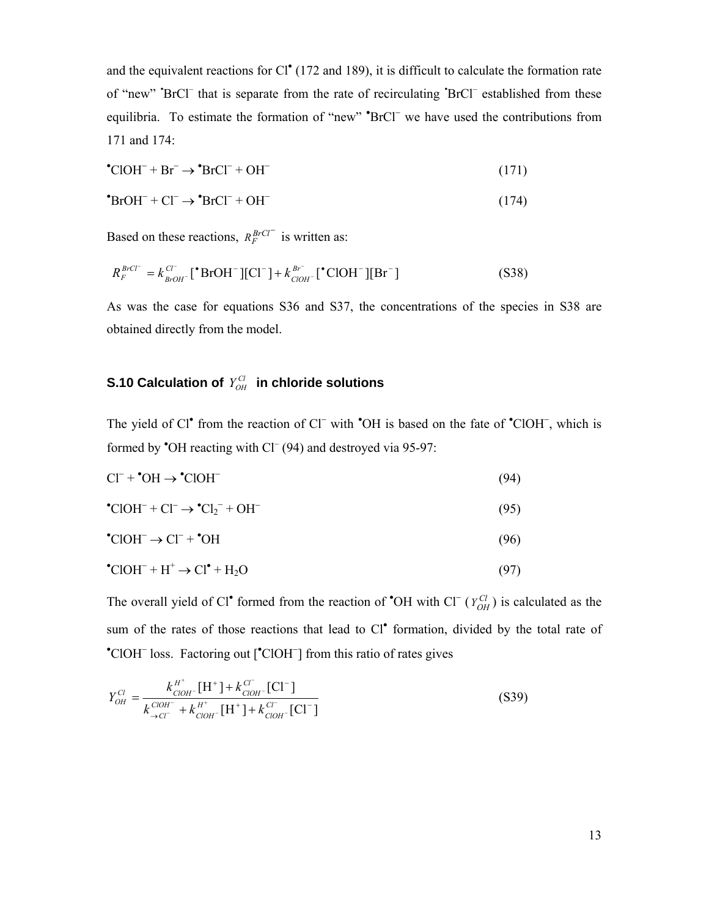and the equivalent reactions for Cl<sup>•</sup> (172 and 189), it is difficult to calculate the formation rate of "new" 'BrCl<sup>-</sup> that is separate from the rate of recirculating 'BrCl<sup>-</sup> established from these equilibria. To estimate the formation of "new" "BrCl<sup>−</sup> we have used the contributions from 171 and 174:

$$
^{\bullet}CIOH^{-} + Br^{-} \rightarrow ^{\bullet}BrCl^{-} + OH^{-} \tag{171}
$$

$$
{}^{\bullet}\text{BrOH}^- + \text{Cl}^- \rightarrow {}^{\bullet}\text{BrCl}^- + \text{OH}^- \tag{174}
$$

Based on these reactions,  $R_F^{BrCl}$  is written as:

$$
R_F^{BrCT} = k_{BrOH}^{CT} \cdot [\mathbf{^*BrOH^-}][Cl^-] + k_{ClOH^-}^{Br^-} [\mathbf{^*ClOH^-}][Br^-]
$$
 (S38)

As was the case for equations S36 and S37, the concentrations of the species in S38 are obtained directly from the model.

### S.10 Calculation of  $Y_{OH}^{Cl}$  in chloride solutions

The yield of Cl<sup>•</sup> from the reaction of Cl<sup>−</sup> with <sup>•</sup>OH is based on the fate of <sup>•</sup>ClOH<sup>−</sup>, which is formed by <sup>•</sup>OH reacting with Cl<sup>-</sup> (94) and destroyed via 95-97:

| $Cl^-$ + $^{\bullet}OH \rightarrow ^{\bullet}ClOH^-$                                                                       | (94) |
|----------------------------------------------------------------------------------------------------------------------------|------|
| $^{\bullet}$ ClOH <sup>-</sup> + Cl <sup>-</sup> $\rightarrow$ $^{\bullet}$ Cl <sub>2</sub> <sup>-</sup> + OH <sup>-</sup> | (95) |
| $^{\bullet}$ ClOH <sup>-</sup> $\rightarrow$ Cl <sup>-</sup> + $^{\bullet}$ OH                                             | (96) |
| $^{\bullet}$ ClOH <sup>-</sup> + H <sup>+</sup> $\rightarrow$ Cl <sup><math>^{\bullet}</math></sup> + H <sub>2</sub> O     | (97) |

The overall yield of Cl<sup>•</sup> formed from the reaction of <sup>•</sup>OH with Cl<sup>−</sup> ( $Y_{OH}^{Cl}$ ) is calculated as the sum of the rates of those reactions that lead to Cl<sup>•</sup> formation, divided by the total rate of • ClOH<sup>−</sup> loss. Factoring out [• ClOH<sup>−</sup> ] from this ratio of rates gives

$$
Y_{OH}^{Cl} = \frac{k_{ClOH}^{H^{+}}[H^{+}] + k_{ClOH}^{Cl^{-}}[Cl^{-}]}{k_{\rightarrow Cl^{-}}^{ClOH^{-}} + k_{ClOH^{-}}^{H^{+}}[H^{+}] + k_{ClOH^{-}}^{Cl^{-}}[Cl^{-}]}
$$
(S39)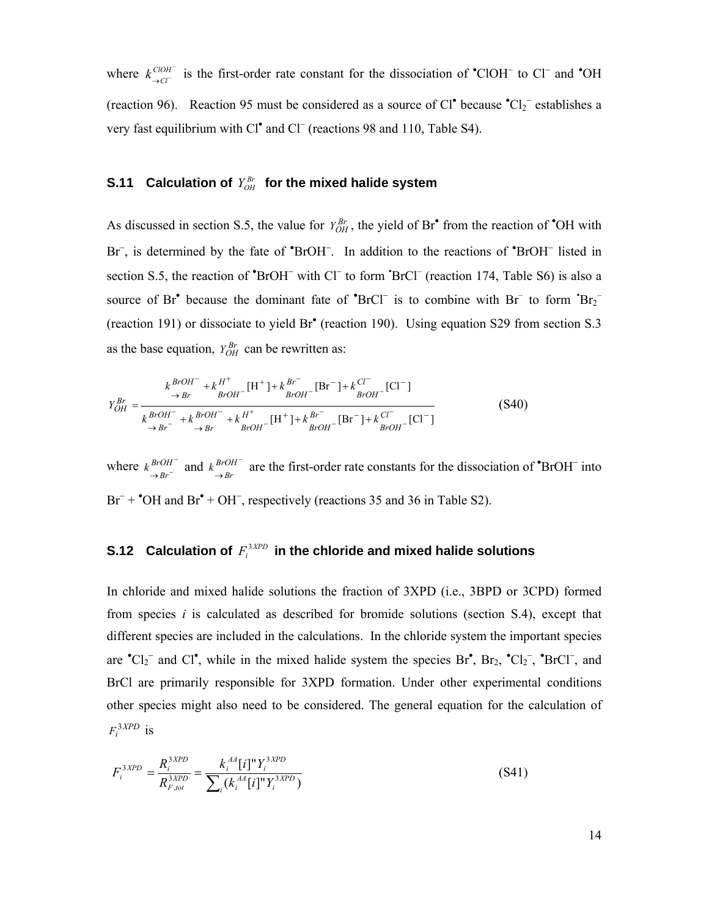where  $k_{\rightarrow}^{ClOH^-}$  is the first-order rate constant for the dissociation of  $^{\bullet}ClOH^-$  to Cl<sup>−</sup> and  $^{\bullet}OH^-$ (reaction 96). Reaction 95 must be considered as a source of  $Cl^{\bullet}$  because  $^{\bullet}Cl_{2}^{-}$  establishes a very fast equilibrium with Cl<sup>•</sup> and Cl<sup>−</sup> (reactions 98 and 110, Table S4).

### S.11 Calculation of  $Y_{OH}^{Br}$  for the mixed halide system

As discussed in section S.5, the value for  $Y_{OH}^{Br}$ , the yield of Br<sup>•</sup> from the reaction of <sup>•</sup>OH with Br<sup>-</sup>, is determined by the fate of <sup>•</sup>BrOH<sup>-</sup>. In addition to the reactions of <sup>•</sup>BrOH<sup>-</sup> listed in section S.5, the reaction of "BrOH<sup>-</sup> with Cl<sup>-</sup> to form 'BrCl<sup>-</sup> (reaction 174, Table S6) is also a source of Br<sup>•</sup> because the dominant fate of  $\textdegree$ BrCl<sup>−</sup> is to combine with Br<sup>−</sup> to form  $\textdegree$ Br<sub>2</sub><sup>−</sup> (reaction 191) or dissociate to yield Br• (reaction 190). Using equation S29 from section S.3 as the base equation,  $Y_{OH}^{Br}$  can be rewritten as:

$$
Y_{OH}^{Br} = \frac{k_{B'OH}^{B*OH^{-}} + k_{B'OH^{-}}^{H^{+}}[H^{+}] + k_{B'OH^{-}}^{Br^{-}}[Br^{-}] + k_{B'OH^{-}}^{Cl^{-}}[Cl^{-}]}{k_{B'OH^{-}}^{B*OH^{-}} + k_{B'OH^{-}}^{H^{+}}[H^{+}] + k_{B'OH^{-}}^{Br^{-}}[Br^{-}] + k_{B'OH^{-}}^{Cl^{-}}[Cl^{-}]}
$$
(S40)

where  $k_{\rightarrow Br}^{BrOH^-}$ *BrOH*  $k \frac{BrOH^{-}}{\rightarrow Br^{-}}$  and  $k \frac{BrOH^{-}}{\rightarrow Br}$ *BrOH*  $k_{\rightarrow Br}^{BrOH^-}$  are the first-order rate constants for the dissociation of  $\textdegree BrOH^-$  into  $Br^-$  +  $^{\bullet}OH$  and  $Br^{\bullet}$  + OH<sup>-</sup>, respectively (reactions 35 and 36 in Table S2).

### S.12 Calculation of  $F_i^{3XPD}$  in the chloride and mixed halide solutions

In chloride and mixed halide solutions the fraction of 3XPD (i.e., 3BPD or 3CPD) formed from species *i* is calculated as described for bromide solutions (section S.4), except that different species are included in the calculations. In the chloride system the important species are  $^{\bullet}Cl_{2}^{-}$  and Cl<sup> $^{\bullet}$ </sup>, while in the mixed halide system the species Br $^{\bullet}$ , Br<sub>2</sub>,  $^{\bullet}Cl_{2}^{-}$ ,  $^{\bullet}BrCl^{-}$ , and BrCl are primarily responsible for 3XPD formation. Under other experimental conditions other species might also need to be considered. The general equation for the calculation of  $F_i^{3XPD}$  is

$$
F_i^{3XPD} = \frac{R_i^{3XPD}}{R_{F, tot}^{3XPD}} = \frac{k_i^{AA}[i]^{\text{T}} Y_i^{3XPD}}{\sum_i (k_i^{AA}[i]^{\text{T}} Y_i^{3XPD})}
$$
(S41)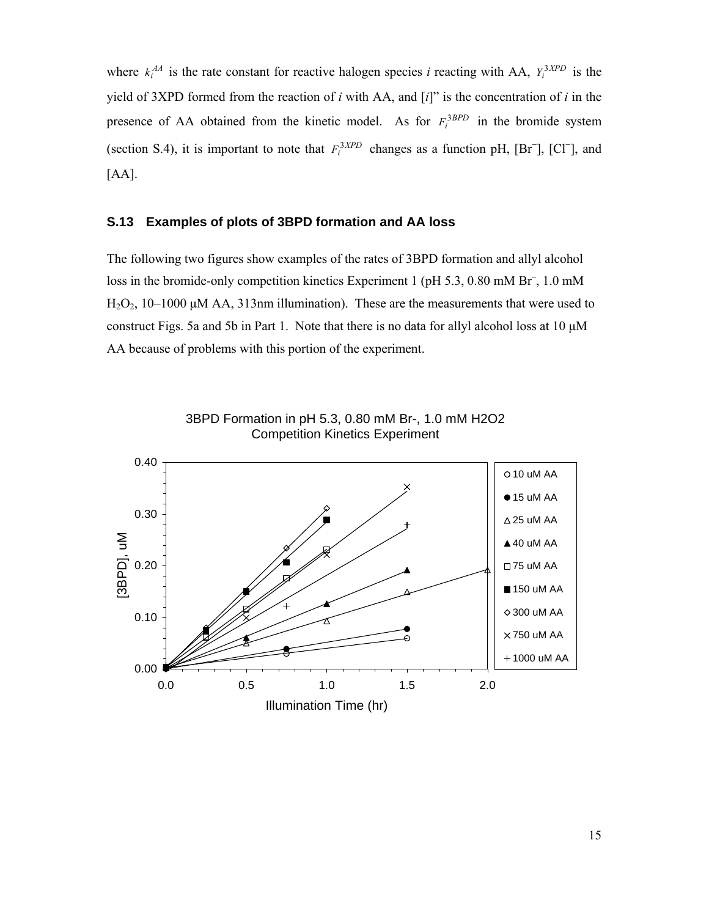where  $k_i^{AA}$  is the rate constant for reactive halogen species *i* reacting with AA,  $Y_i^{3XPD}$  is the yield of 3XPD formed from the reaction of *i* with AA, and [*i*]" is the concentration of *i* in the presence of AA obtained from the kinetic model. As for  $F_i^{3BPD}$  in the bromide system (section S.4), it is important to note that  $F_i^{3XPD}$  changes as a function pH, [Br<sup>-</sup>], [Cl<sup>-</sup>], and  $[AA]$ .

#### **S.13 Examples of plots of 3BPD formation and AA loss**

The following two figures show examples of the rates of 3BPD formation and allyl alcohol loss in the bromide-only competition kinetics Experiment 1 (pH 5.3, 0.80 mM Br<sup>-</sup>, 1.0 mM H<sub>2</sub>O<sub>2</sub>, 10–1000 μM AA, 313nm illumination). These are the measurements that were used to construct Figs. 5a and 5b in Part 1. Note that there is no data for allyl alcohol loss at 10 μM AA because of problems with this portion of the experiment.



3BPD Formation in pH 5.3, 0.80 mM Br-, 1.0 mM H2O2 Competition Kinetics Experiment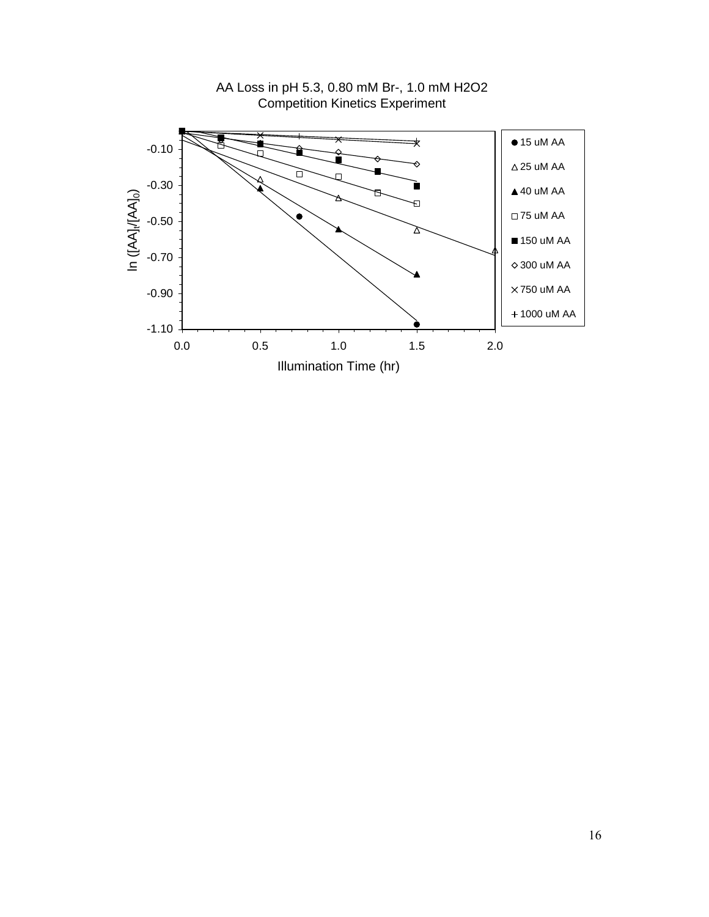

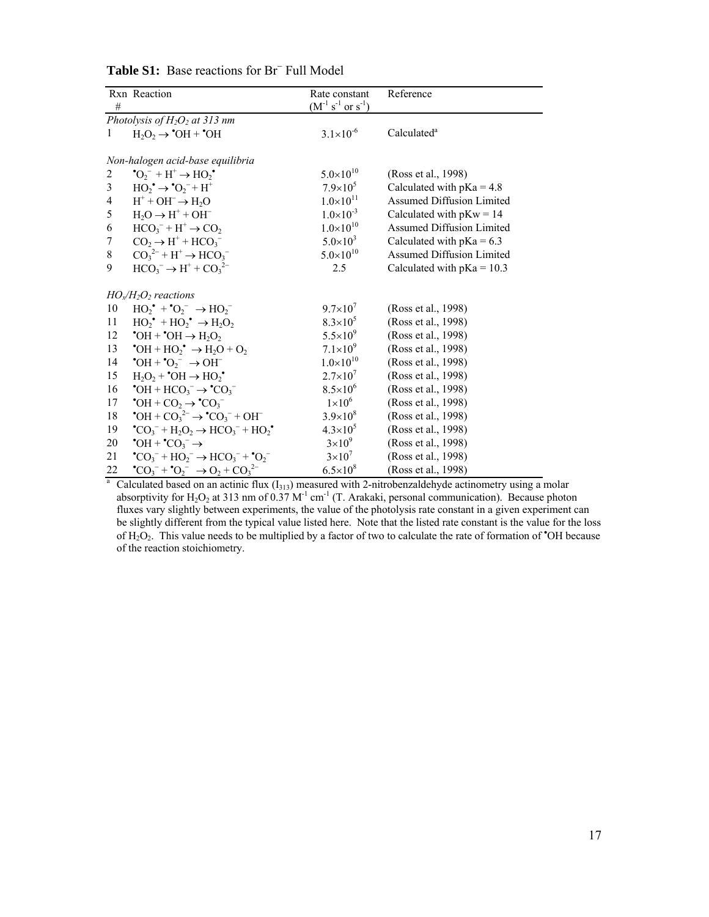|              | Rxn Reaction                                                                                                                                     | Rate constant                 | Reference                                                                                                   |
|--------------|--------------------------------------------------------------------------------------------------------------------------------------------------|-------------------------------|-------------------------------------------------------------------------------------------------------------|
| #            | Photolysis of $H_2O_2$ at 313 nm                                                                                                                 | $(M^{-1} s^{-1}$ or $s^{-1})$ |                                                                                                             |
| $\mathbf{1}$ | $H_2O_2 \rightarrow \text{^*OH} + \text{^*OH}$                                                                                                   | $3.1 \times 10^{-6}$          | Calculated <sup>a</sup>                                                                                     |
|              | Non-halogen acid-base equilibria                                                                                                                 |                               |                                                                                                             |
| 2            | $\bullet$ O <sub>2</sub> <sup>-</sup> + H <sup>+</sup> → HO <sub>2</sub> <sup>•</sup>                                                            | $5.0\times10^{10}$            | (Ross et al., 1998)                                                                                         |
| 3            | $HO^{\bullet} \rightarrow \bullet O^{\bullet} + H^{\dagger}$                                                                                     | $7.9\times10^{5}$             | Calculated with $pKa = 4.8$                                                                                 |
| 4            | $H^+$ + OH <sup>-</sup> $\rightarrow$ H <sub>2</sub> O                                                                                           | $1.0\times10^{11}$            | <b>Assumed Diffusion Limited</b>                                                                            |
| 5            | $H_2O \rightarrow H^+ + OH^-$                                                                                                                    | $1.0\times10^{-3}$            | Calculated with $pKw = 14$                                                                                  |
| 6            | $HCO_3^- + H^+ \rightarrow CO_2$                                                                                                                 | $1.0\times10^{10}$            | Assumed Diffusion Limited                                                                                   |
| 7            | $CO2 \rightarrow H+ + HCO3-$                                                                                                                     | $5.0 \times 10^3$             | Calculated with $pKa = 6.3$                                                                                 |
| $\,8\,$      | $CO32- + H+ \rightarrow HCO3-$                                                                                                                   | $5.0\times10^{10}$            | <b>Assumed Diffusion Limited</b>                                                                            |
| 9            | $HCO_3^- \rightarrow H^+ + CO_3^2$                                                                                                               | 2.5                           | Calculated with $pKa = 10.3$                                                                                |
|              | $HO_x/H_2O_2$ reactions                                                                                                                          |                               |                                                                                                             |
| 10           | $HO_2^{\bullet}$ + $^{\bullet}O_2^ \rightarrow$ $HO_2^-$                                                                                         | $9.7 \times 10^{7}$           | (Ross et al., 1998)                                                                                         |
| 11           | $HO_2^{\bullet} + HO_2^{\bullet} \rightarrow H_2O_2$                                                                                             | $8.3 \times 10^{5}$           | (Ross et al., 1998)                                                                                         |
| 12           | $\bullet$ OH + $\bullet$ OH $\rightarrow$ H <sub>2</sub> O <sub>2</sub>                                                                          | $5.5 \times 10^{9}$           | (Ross et al., 1998)                                                                                         |
| 13           | $\bullet$ OH + HO <sub>2</sub> $\bullet$ $\rightarrow$ H <sub>2</sub> O + O <sub>2</sub>                                                         | $7.1 \times 10^{9}$           | (Ross et al., 1998)                                                                                         |
| 14           | $\bullet$ OH + $\bullet$ O <sub>2</sub> <sup>-</sup> $\rightarrow$ OH <sup>-</sup>                                                               | $1.0\times10^{10}$            | (Ross et al., 1998)                                                                                         |
| 15           | $H_2O_2$ + $\text{°OH} \rightarrow \text{HO}$ <sup>*</sup>                                                                                       | $2.7 \times 10^{7}$           | (Ross et al., 1998)                                                                                         |
| 16           | $\bullet$ OH + HCO <sub>3</sub> <sup>-</sup> $\rightarrow$ $\bullet$ CO <sub>3</sub> <sup>-</sup>                                                | $8.5 \times 10^{6}$           | (Ross et al., 1998)                                                                                         |
| 17           | $\bullet$ OH + CO <sub>2</sub> $\rightarrow \bullet$ <sup>-</sup> CO <sub>3</sub> <sup>-</sup>                                                   | $1\times10^6$                 | (Ross et al., 1998)                                                                                         |
| 18           | $\bullet$ OH + CO <sub>3</sub> <sup>2-</sup> $\rightarrow \bullet$ CO <sub>3</sub> <sup>-</sup> + OH <sup>-</sup>                                | $3.9 \times 10^{8}$           | (Ross et al., 1998)                                                                                         |
| 19           | $^{\bullet}CO_3^-$ + H <sub>2</sub> O <sub>2</sub> $\rightarrow$ HCO <sub>3</sub> <sup>-</sup> + HO <sub>2</sub> <sup><math>\bullet</math></sup> | $4.3 \times 10^{5}$           | (Ross et al., 1998)                                                                                         |
| 20           | $\text{O}H + \text{CO}^{-} \rightarrow$                                                                                                          | $3\times10^9$                 | (Ross et al., 1998)                                                                                         |
| 21           | $^{\bullet}CO_{3}^{-}+HO_{2}^{-}\rightarrow HCO_{3}^{-}+^{\bullet}O_{2}^{-}$                                                                     | $3\times10^7$                 | (Ross et al., 1998)                                                                                         |
| 22           | $^{\bullet}CO_3^{-} + ^{\bullet}O_2^{-} \rightarrow O_2 + CO_3^{2-}$                                                                             | $6.5 \times 10^{8}$           | (Ross et al., 1998)                                                                                         |
| a            |                                                                                                                                                  |                               | Calculated based on an actinic flux $(I_{313})$ measured with 2-nitrobenzaldehyde actinometry using a molar |

Table S1: Base reactions for Br<sup>−</sup> Full Model

absorptivity for H<sub>2</sub>O<sub>2</sub> at 313 nm of 0.37 M<sup>-1</sup> cm<sup>-1</sup> (T. Arakaki, personal communication). Because photon fluxes vary slightly between experiments, the value of the photolysis rate constant in a given experiment can be slightly different from the typical value listed here. Note that the listed rate constant is the value for the loss of  $H_2O_2$ . This value needs to be multiplied by a factor of two to calculate the rate of formation of  $\bullet$ OH because of the reaction stoichiometry.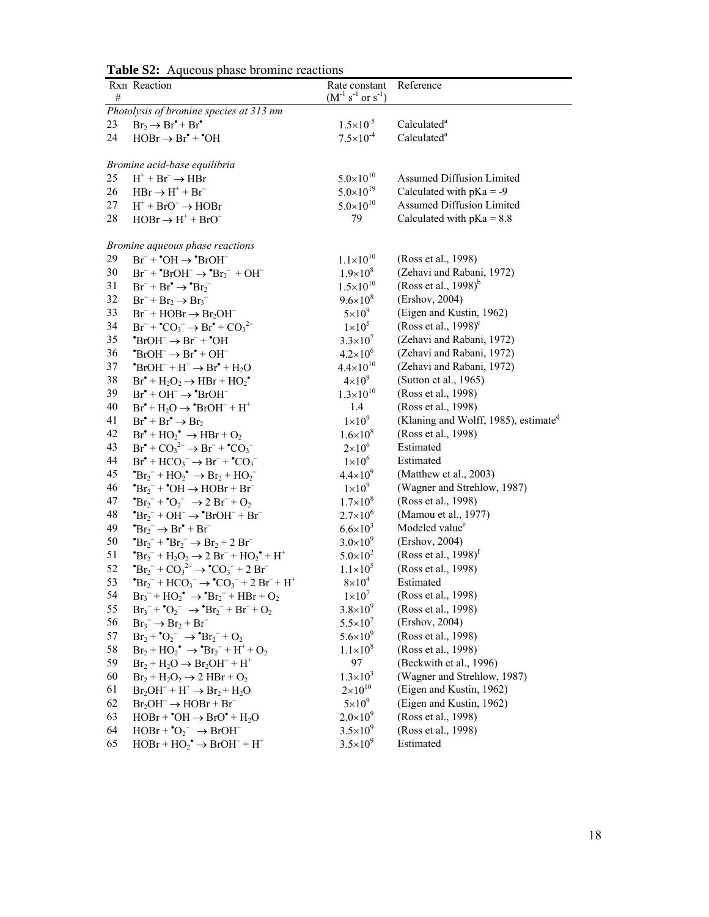| $\#$ | Rxn Reaction                                                                                                                 | Rate constant<br>$(M^{-1} s^{-1}$ or $s^{-1})$ | Reference                                        |
|------|------------------------------------------------------------------------------------------------------------------------------|------------------------------------------------|--------------------------------------------------|
|      | Photolysis of bromine species at 313 nm                                                                                      |                                                |                                                  |
| 23   | $Br_2 \rightarrow Br^{\bullet} + Br^{\bullet}$                                                                               | $1.5 \times 10^{-5}$                           | Calculated <sup>a</sup>                          |
| 24   | $HOBr \rightarrow Br^{\bullet} + {}^{\bullet}OH$                                                                             | $7.5 \times 10^{-4}$                           | Calculated <sup>a</sup>                          |
|      | Bromine acid-base equilibria                                                                                                 |                                                |                                                  |
| 25   | $H^+ + Br^- \rightarrow HBr$                                                                                                 | $5.0 \times 10^{10}$                           | Assumed Diffusion Limited                        |
| 26   | $HBr \rightarrow H^+ + Br^-$                                                                                                 | $5.0 \times 10^{19}$                           | Calculated with $pKa = -9$                       |
| 27   | $H^+$ + BrO <sup>-</sup> $\rightarrow$ HOBr                                                                                  | $5.0 \times 10^{10}$                           | Assumed Diffusion Limited                        |
| 28   | $HOBr \rightarrow H^+ + BrO^-$                                                                                               | 79                                             | Calculated with $pKa = 8.8$                      |
|      | Bromine aqueous phase reactions                                                                                              |                                                |                                                  |
| 29   | $Br^-+^{\bullet}OH \rightarrow \bullet BrOH^-$                                                                               | $1.1 \times 10^{10}$                           | (Ross et al., 1998)                              |
| 30   | $Br^-$ + $^*BrOH^ \rightarrow$ $^*Br_2^-$ + OH <sup>-</sup>                                                                  | $1.9\times10^{8}$                              | (Zehavi and Rabani, 1972)                        |
| 31   | $Br^- + Br^{\bullet} \rightarrow {^{\bullet}Br_2}^-$                                                                         | $1.5 \times 10^{10}$                           | (Ross et al., 1998) $b$                          |
| 32   | $Br^- + Br_2 \rightarrow Br_3^-$                                                                                             | $9.6 \times 10^8$                              | (Ershov, 2004)                                   |
| 33   | $Br^- + HOBr \rightarrow Br_2OH^-$                                                                                           | $5\times10^9$                                  | (Eigen and Kustin, 1962)                         |
| 34   | $Br^-$ + $^{\bullet}CO_3^ \rightarrow$ $Br^{\bullet}$ + $CO_3^{\circ-}$                                                      | $1\times10^5$                                  | (Ross et al., $1998$ ) <sup>c</sup>              |
| 35   | $\text{BrOH}^{-} \rightarrow \text{Br}^{-} + \text{O} +$                                                                     | $3.3 \times 10^{7}$                            | (Zehavi and Rabani, 1972)                        |
| 36   | $\text{BrOH}^- \rightarrow \text{Br}^{\bullet} + \text{OH}^-$                                                                | $4.2 \times 10^{6}$                            | (Zehavi and Rabani, 1972)                        |
| 37   | $\text{BrOH}^- + \text{H}^+ \rightarrow \text{Br}^{\bullet} + \text{H}_2\text{O}$                                            | $4.4 \times 10^{10}$                           | (Zehavi and Rabani, 1972)                        |
| 38   | $Br^{\bullet} + H_2O_2 \rightarrow HBr + HO_2^{\bullet}$                                                                     | $4\times10^9$                                  | (Sutton et al., 1965)                            |
| 39   | $Br^{\bullet} + OH^- \rightarrow \text{'}BrOH^-$                                                                             | $1.3 \times 10^{10}$                           | (Ross et al., 1998)                              |
| 40   | $Br^{\bullet} + H_2O \rightarrow {}^{\bullet}BrOH^- + H^+$                                                                   | 1.4                                            | (Ross et al., 1998)                              |
| 41   | $Br^{\bullet} + Br^{\bullet} \rightarrow Br_2$                                                                               | $1\times10^9$                                  | (Klaning and Wolff, 1985), estimate <sup>d</sup> |
| 42   | $Br^{\bullet} + HO_2^{\bullet} \rightarrow HBr + O_2$                                                                        | $1.6 \times 10^8$                              | (Ross et al., 1998)                              |
| 43   | $Br^{\bullet}$ + $CO_3^{\text{2-}}$ $\rightarrow$ $Br^{\text{-}}$ + $\text{^{\bullet}CO_3^{\text{-}}}$                       | $2\times10^6$                                  | Estimated                                        |
| 44   | $Br^{\bullet} + HCO_3^- \rightarrow Br^{\circ} + {}^{\bullet}CO_3^-$                                                         | $1\times10^6$                                  | Estimated                                        |
| 45   | $Br_2^- + HO_2^{\bullet} \rightarrow Br_2 + HO_2^-$                                                                          | $4.4 \times 10^{9}$                            | (Matthew et al., 2003)                           |
| 46   | $^{\bullet}Br_2^-$ + $^{\bullet}OH \rightarrow HOBr + Br^-$                                                                  | $1\times10^9$                                  | (Wagner and Strehlow, 1987)                      |
| 47   | $^{\bullet}Br_2^-$ + $^{\bullet}O_2^ \rightarrow$ 2 Br <sup>-</sup> + O <sub>2</sub>                                         | $1.7\times10^{8}$                              | (Ross et al., 1998)                              |
| 48   | $^{\bullet}Br_2^-$ + OH <sup>-</sup> $\rightarrow$ $^{\bullet}BrOH^-$ + Br <sup>-</sup>                                      | $2.7 \times 10^{6}$                            | (Mamou et al., 1977)                             |
| 49   | $\text{Br}_2^- \rightarrow \text{Br}^{\bullet} + \text{Br}^-$                                                                | $6.6 \times 10^{3}$                            | Modeled value <sup>e</sup>                       |
| 50   | ${}^{\bullet}Br_2^-$ + ${}^{\bullet}Br_2^ \rightarrow$ $Br_2$ + 2 $Br^-$                                                     | $3.0\times10^{9}$                              | (Ershov, 2004)                                   |
| 51   | $Br_2^- + H_2O_2 \rightarrow 2 Br^- + HO_2^+ + H^+$                                                                          | $5.0 \times 10^{2}$                            | (Ross et al., 1998) $^{\rm f}$                   |
| 52   | $^{\bullet}Br_{2}^{-}+CO_{3}^{2-} \rightarrow ^{\bullet}CO_{3}^{-}+2Br^{-}$                                                  | $1.1 \times 10^{5}$                            | (Ross et al., 1998)                              |
| 53   | $^{\bullet}Br_{2}^-$ + HCO <sub>3</sub> <sup>-</sup> $\rightarrow$ $^{\bullet}CO_{3}^-$ + 2 Br <sup>-</sup> + H <sup>+</sup> | $8\times10^4$                                  | Estimated                                        |
| 54   | $Br_3^- + HO_2^{\bullet} \rightarrow {}^{\bullet}Br_2^- + HBr + O_2$                                                         | $1\times10^7$                                  | (Ross et al., 1998)                              |
| 55   | $Br_3^- + O_2^- \rightarrow Br_2^- + Br^- + O_2$                                                                             | $3.8 \times 10^{9}$                            | (Ross et al., 1998)                              |
| 56   | $Br_3^- \rightarrow Br_2 + Br^-$                                                                                             | $5.5 \times 10^{7}$                            | (Ershov, 2004)                                   |
| 57   | $Br_2$ + $^{\bullet}O_2^ \rightarrow$ $^{\bullet}Br_2^-$ + $O_2$                                                             | $5.6 \times 10^{9}$                            | (Ross et al., 1998)                              |
| 58   | $Br_2 + HO_2^{\bullet} \rightarrow \bullet Br_2^- + H^+ + O_2$                                                               | $1.1 \times 10^8$                              | (Ross et al., 1998)                              |
| 59   | $Br_2 + H_2O \rightarrow Br_2OH^- + H^+$                                                                                     | 97                                             | (Beckwith et al., 1996)                          |
| 60   | $Br_2 + H_2O_2 \rightarrow 2 HBr + O_2$                                                                                      | $1.3 \times 10^{3}$                            | (Wagner and Strehlow, 1987)                      |
| 61   | $Br_2OH^- + H^+ \rightarrow Br_2 + H_2O$                                                                                     | $2 \times 10^{10}$                             | (Eigen and Kustin, 1962)                         |
| 62   | $Br_2OH^- \rightarrow HOBr + Br^-$                                                                                           | $5\times10^9$                                  | (Eigen and Kustin, 1962)                         |
| 63   | $HOBr + OH \rightarrow BrO^{\bullet} + H_2O$                                                                                 | $2.0\times10^{9}$                              | (Ross et al., 1998)                              |
| 64   | $HOBr + O_2^- \rightarrow BrOH^-$                                                                                            | $3.5 \times 10^{9}$                            | (Ross et al., 1998)                              |
| 65   | $HOBr + HO_2^{\bullet} \rightarrow BrOH^- + H^+$                                                                             | $3.5 \times 10^{9}$                            | Estimated                                        |

**Table S2:** Aqueous phase bromine reactions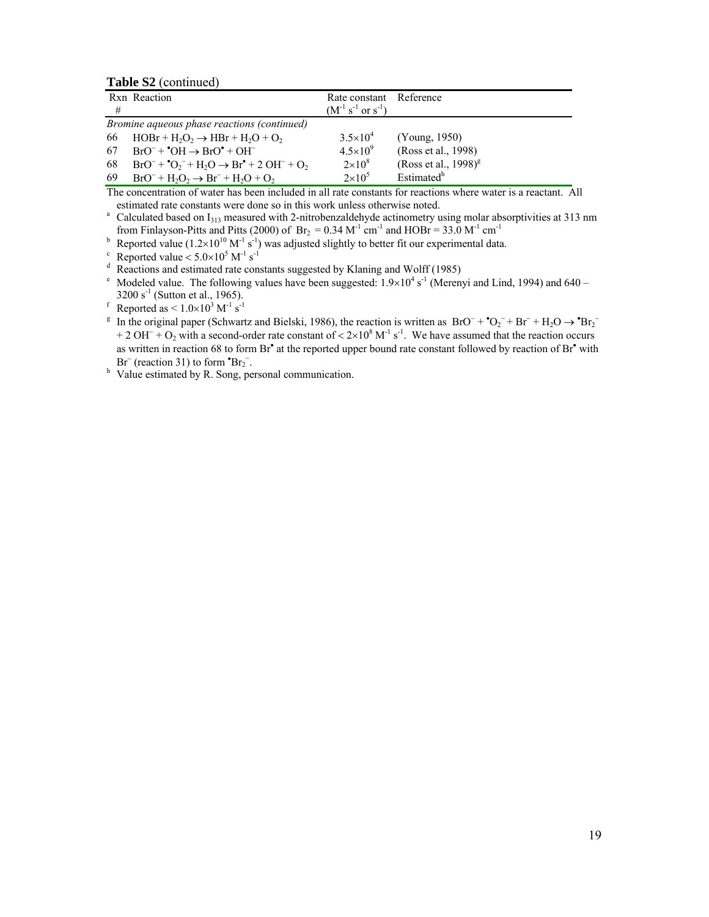**Table S2** (continued)

| #  | Rxn Reaction                                                                                   | Rate constant Reference<br>$(M^{-1} s^{-1}$ or $s^{-1})$ |                                     |
|----|------------------------------------------------------------------------------------------------|----------------------------------------------------------|-------------------------------------|
|    |                                                                                                |                                                          |                                     |
|    | Bromine aqueous phase reactions (continued)                                                    |                                                          |                                     |
| 66 | $HOBr + H2O2 \rightarrow HBr + H2O + O2$                                                       | $3.5 \times 10^{4}$                                      | (Young, 1950)                       |
| 67 | $BrO^{-}$ + $^{*}OH \rightarrow BrO^{*}$ + OH <sup>-</sup>                                     | $4.5 \times 10^{9}$                                      | (Ross et al., 1998)                 |
| 68 | $BrO^{-}$ + $^{0}O_{2}^{-}$ + $H_{2}O \rightarrow Br^{0}$ + 2 OH <sup>-</sup> + O <sub>2</sub> | $2\times10^8$                                            | (Ross et al., $1998$ ) <sup>g</sup> |
| 69 | $BrO^{-} + H_2O_2 \rightarrow Br^{-} + H_2O + O_2$                                             | $2\times10^5$                                            | Estimated <sup>h</sup>              |

The concentration of water has been included in all rate constants for reactions where water is a reactant. All estimated rate constants were done so in this work unless otherwise noted.<br>a Calculated based on I<sub>313</sub> measured with 2-nitrobenzaldehyde actinometry using molar absorptivities at 313 nm

- from Finlayson-Pitts and Pitts (2000) of Br<sub>2</sub> = 0.34 M<sup>-1</sup> cm<sup>-1</sup> and HOBr = 33.0 M<sup>-1</sup> cm<sup>-1</sup>
- <sup>b</sup> Reported value  $(1.2 \times 10^{10} \text{ M}^{-1} \text{ s}^{-1})$  was adjusted slightly to better fit our experimental data.<br><sup>c</sup> Reported value <  $5.0 \times 10^5 \text{ M}^{-1} \text{ s}^{-1}$
- 

<sup>d</sup> Reactions and estimated rate constants suggested by Klaning and Wolff (1985)<br>
<sup>e</sup> Modeled value. The following values have been suggested: 1.9×10<sup>4</sup> s<sup>-1</sup> (Merenyi and Lind, 1994) and 640 –  $3200 \text{ s}^{-1}$  (Sutton et al., 1965).<br>
f Reported as  $\leq 1.0 \times 10^3 \text{ M}^{-1} \text{ s}^{-1}$ 

<sup>g</sup> In the original paper (Schwartz and Bielski, 1986), the reaction is written as BrO<sup>-</sup> +  $^{\circ}$ O<sub>2</sub><sup>-</sup> + Br<sup>-</sup> + H<sub>2</sub>O →  $^{\circ}$ Br<sub>2</sub><sup>-</sup> + 2 OH<sup>-</sup> + O<sub>2</sub> with a second-order rate constant of <  $2 \times 10^8$  M<sup>-1</sup> s<sup>-1</sup>. We have assumed that the reaction occurs as written in reaction 68 to form Br<sup>•</sup> at the reported upper bound rate constant followed by reaction of Br<sup>•</sup> with  $Br^-$  (reaction 31) to form  ${}^{\bullet}Br_2^-$ .

<sup>h</sup> Value estimated by R. Song, personal communication.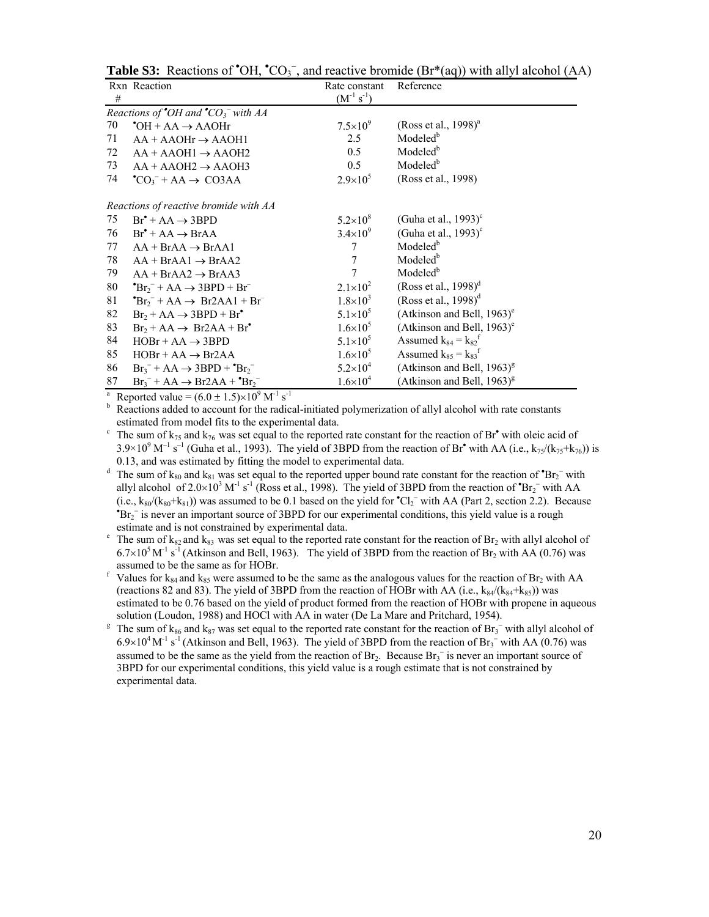|    | Rxn Reaction                                                  | Rate constant       | Reference                                 |
|----|---------------------------------------------------------------|---------------------|-------------------------------------------|
| #  |                                                               | $(M^{-1} s^{-1})$   |                                           |
|    | Reactions of $\mathcal{O}H$ and $\mathcal{O}C_3$ with AA      |                     |                                           |
| 70 | $\bullet$ OH + AA $\rightarrow$ AAOHr                         | $7.5\times10^9$     | (Ross et al., $1998$ ) <sup>a</sup>       |
| 71 | $AA + AAOHr \rightarrow AAOH1$                                | 2.5                 | Modeled <sup>b</sup>                      |
| 72 | $AA + AAOH1 \rightarrow AAOH2$                                | 0.5                 | Modeled <sup>b</sup>                      |
| 73 | $AA + AAOH2 \rightarrow AAOH3$                                | 0.5                 | Modeled <sup>b</sup>                      |
| 74 | $^{\bullet}CO_{3}^{-}+AA\rightarrow CO3AA$                    | $2.9 \times 10^{5}$ | (Ross et al., 1998)                       |
|    | Reactions of reactive bromide with AA                         |                     |                                           |
| 75 | $Br^{\bullet} + AA \rightarrow 3BPD$                          | $5.2 \times 10^8$   | (Guha et al., $1993$ ) <sup>c</sup>       |
| 76 | $Br^{\bullet} + AA \rightarrow BrAA$                          | $3.4 \times 10^{9}$ | (Guha et al., $1993$ ) <sup>c</sup>       |
| 77 | $AA + BrAA \rightarrow BrAA1$                                 | 7                   | Modeled <sup>b</sup>                      |
| 78 | $AA + BrAA1 \rightarrow BrAA2$                                | 7                   | Modeled <sup>b</sup>                      |
| 79 | $AA + BrAA2 \rightarrow BrAA3$                                | $\overline{7}$      | Modeled <sup>b</sup>                      |
| 80 | $Br_2 + AA \rightarrow 3BPD + Br$                             | $2.1 \times 10^{2}$ | (Ross et al., 1998) $^d$                  |
| 81 | $Br_2$ <sup>+</sup> AA $\rightarrow$ Br2AA1 + Br <sup>-</sup> | $1.8\times10^{3}$   | (Ross et al., 1998) $^d$                  |
| 82 | $Br_2 + AA \rightarrow 3BPD + Br^{\bullet}$                   | $5.1\times10^5$     | (Atkinson and Bell, $1963$ ) <sup>e</sup> |
| 83 | $Br_2 + AA \rightarrow Br2AA + Br^{\bullet}$                  | $1.6\times10^5$     | (Atkinson and Bell, $1963$ ) <sup>e</sup> |
| 84 | $HOBr + AA \rightarrow 3BPD$                                  | $5.1 \times 10^{5}$ | Assumed $k_{84} = k_{82}$ <sup>t</sup>    |
| 85 | $HOBr + AA \rightarrow Br2AA$                                 | $1.6 \times 10^{5}$ | Assumed $k_{85} = k_{83}^{\text{f}}$      |
| 86 | $Br_3^- + AA \rightarrow 3BPD + {}^{\bullet}Br_2^-$           | $5.2 \times 10^{4}$ | (Atkinson and Bell, $1963$ <sup>g</sup>   |
| 87 | $Br_3^- + AA \rightarrow Br2AA + {}^{\bullet}Br_2^-$          | $1.6 \times 10^{4}$ | (Atkinson and Bell, $1963$ <sup>g</sup>   |

**Table S3:** Reactions of  $\text{O}_1$ ,  $\text{CO}_2$ <sup>-</sup>, and reactive bromide (Br\*(aq)) with allyl alcohol (AA)

<sup>a</sup> Reported value =  $(6.0 \pm 1.5) \times 10^9$  M<sup>-1</sup> s<sup>-1</sup>

<sup>b</sup> Reactions added to account for the radical-initiated polymerization of allyl alcohol with rate constants estimated from model fits to the experimental data.

The sum of  $k_{75}$  and  $k_{76}$  was set equal to the reported rate constant for the reaction of Br<sup>•</sup> with oleic acid of  $3.9\times10^9$  M<sup>-1</sup> s<sup>-1</sup> (Guha et al., 1993). The yield of 3BPD from the reaction of Br<sup>•</sup> with AA (i.e., k<sub>75</sub>/(k<sub>75</sub>+k<sub>76</sub>)) is

0.13, and was estimated by fitting the model to experimental data.<br><sup>d</sup> The sum of k<sub>80</sub> and k<sub>81</sub> was set equal to the reported upper bound rate constant for the reaction of  ${}^{\bullet}Br_2^-$  with allyl alcohol of  $2.0 \times 10^3$  M<sup>-1</sup> s<sup>-1</sup> (Ross et al., 1998). The yield of 3BPD from the reaction of  $^{\circ}Br_2^-$  with AA (i.e.,  $k_{80}/(k_{80}+k_{81})$ ) was assumed to be 0.1 based on the yield for  $^{\bullet}Cl_{2}^{-}$  with AA (Part 2, section 2.2). Because  ${}^{\bullet}Br_2^-$  is never an important source of 3BPD for our experimental conditions, this yield value is a rough estimate and is not constrained by experimental data.

<sup>e</sup> The sum of k<sub>82</sub> and k<sub>83</sub> was set equal to the reported rate constant for the reaction of Br<sub>2</sub> with allyl alcohol of  $6.7 \times 10^5$  M<sup>-1</sup> s<sup>-1</sup> (Atkinson and Bell, 1963). The yield of 3BPD from the reaction of Br<sub>2</sub> with AA (0.76) was assumed to be the same as for HOBr.

<sup>f</sup> Values for  $k_{84}$  and  $k_{85}$  were assumed to be the same as the analogous values for the reaction of Br<sub>2</sub> with AA (reactions 82 and 83). The yield of 3BPD from the reaction of HOBr with AA (i.e.,  $k_{84}/(k_{84}+k_{85})$ ) was estimated to be 0.76 based on the yield of product formed from the reaction of HOBr with propene in aqueous

solution (Loudon, 1988) and HOCl with AA in water (De La Mare and Pritchard, 1954).<br><sup>8</sup> The sum of k<sub>86</sub> and k<sub>87</sub> was set equal to the reported rate constant for the reaction of Br<sub>3</sub><sup>-</sup> with allyl alcohol of  $6.9\times10^4$  M<sup>-1</sup> s<sup>-1</sup> (Atkinson and Bell, 1963). The yield of 3BPD from the reaction of Br<sub>3</sub><sup>-</sup> with AA (0.76) was assumed to be the same as the yield from the reaction of  $Br_2$ . Because  $Br_3^-$  is never an important source of 3BPD for our experimental conditions, this yield value is a rough estimate that is not constrained by experimental data.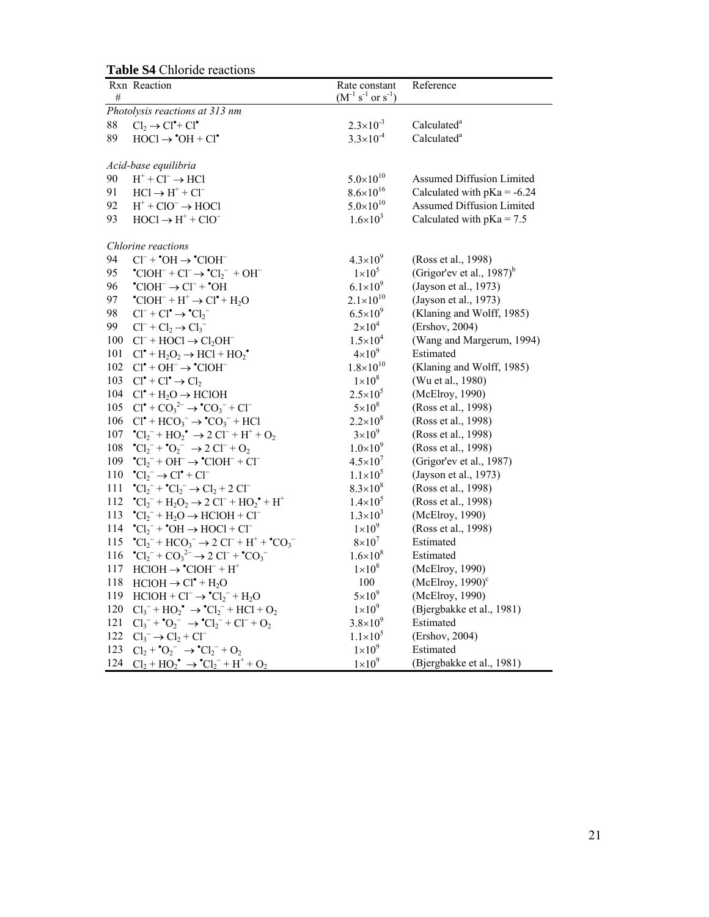| $\#$    | <b>L'able 54</b> CHIOHUE reactions<br>Rxn Reaction                                                                         | Rate constant<br>$(M^{-1} s^{-1}$ or $s^{-1})$ | Reference                                |
|---------|----------------------------------------------------------------------------------------------------------------------------|------------------------------------------------|------------------------------------------|
|         | Photolysis reactions at 313 nm                                                                                             |                                                |                                          |
| 88      | $Cl_2 \rightarrow Cl^{\bullet} + Cl^{\bullet}$                                                                             | $2.3 \times 10^{-3}$                           | Calculated <sup>a</sup>                  |
| 89      | $HOCl \rightarrow \text{^*OH} + Cl^*$                                                                                      | $3.3 \times 10^{-4}$                           | Calculated <sup>a</sup>                  |
|         |                                                                                                                            |                                                |                                          |
|         | Acid-base equilibria                                                                                                       |                                                |                                          |
| 90      | $\text{H}^+ + \text{Cl}^- \rightarrow \text{HCl}$                                                                          | $5.0 \times 10^{10}$                           | Assumed Diffusion Limited                |
| 91      | $HCl \rightarrow H^+ + Cl^-$                                                                                               | $8.6 \times 10^{16}$                           | Calculated with $pKa = -6.24$            |
| 92      | $H^+$ + ClO <sup>-</sup> $\rightarrow$ HOCl                                                                                | $5.0 \times 10^{10}$                           | Assumed Diffusion Limited                |
| 93      | $HOCI \rightarrow H^+ + ClO^-$                                                                                             | $1.6 \times 10^{3}$                            | Calculated with $pKa = 7.5$              |
|         | Chlorine reactions                                                                                                         |                                                |                                          |
| 94      | $Cl^-$ + $^{\bullet}OH \rightarrow ^{\bullet}ClOH^-$                                                                       | $4.3 \times 10^{9}$                            | (Ross et al., 1998)                      |
| 95      | $^{\bullet}$ ClOH <sup>-</sup> + Cl <sup>-</sup> $\rightarrow$ $^{\bullet}$ Cl <sub>2</sub> <sup>-</sup> + OH <sup>-</sup> | $1\times10^5$                                  | (Grigor'ev et al., $1987$ ) <sup>b</sup> |
| 96      | $^{\bullet}$ ClOH <sup>-</sup> $\rightarrow$ Cl <sup>-</sup> + $^{\bullet}$ OH                                             | $6.1 \times 10^{9}$                            | (Jayson et al., 1973)                    |
| 97      | $^{\bullet}$ ClOH <sup>-</sup> + H <sup>+</sup> $\rightarrow$ Cl <sup><math>\bullet</math></sup> + H <sub>2</sub> O        | $2.1 \times 10^{10}$                           | (Jayson et al., 1973)                    |
| 98      | $Cl^{-} + Cl^{\bullet} \rightarrow {^{\bullet}Cl}_{2}^{-}$                                                                 | $6.5 \times 10^{9}$                            | (Klaning and Wolff, 1985)                |
| 99      | $Cl^{-} + Cl_{2} \rightarrow Cl_{3}^{-}$                                                                                   | $2\times10^4$                                  | (Ershov, 2004)                           |
| $100\,$ | $Cl^-$ + HOCl $\rightarrow Cl_2OH^-$                                                                                       | $1.5 \times 10^{4}$                            | (Wang and Margerum, 1994)                |
| 101     | $Cl^{\bullet} + H_2O_2 \rightarrow HCl + HO_2^{\bullet}$                                                                   | $4\times10^9$                                  | Estimated                                |
| 102     | $Cl^{\bullet}$ + OH <sup><math>\rightarrow</math></sup> $^{\bullet}ClOH$ <sup><math>\rightarrow</math></sup>               | $1.8 \times 10^{10}$                           | (Klaning and Wolff, 1985)                |
| 103     | $Cl^{\bullet} + Cl^{\bullet} \rightarrow Cl_2$                                                                             | $1\times10^8$                                  | (Wu et al., 1980)                        |
| 104     | $Cl^{\bullet} + H_2O \rightarrow HClOH$                                                                                    | $2.5 \times 10^{5}$                            | (McElroy, 1990)                          |
| 105     | $Cl^{\bullet}$ + $CO_3^2$ $\rightarrow$ $^{\bullet}CO_3^-$ + $Cl^{\bullet}$                                                | $5\times10^8$                                  | (Ross et al., 1998)                      |
| 106     | $Cl^{\bullet} + HCO_3^- \rightarrow {}^{\bullet}CO_3^- + HCl$                                                              | $2.2 \times 10^8$                              | (Ross et al., 1998)                      |
| 107     | $^{\bullet}Cl_{2}^{-}+HO_{2}^{\bullet} \rightarrow 2 Cl^{-}+H^{+}+O_{2}$                                                   | $3\times10^9$                                  | (Ross et al., 1998)                      |
| 108     | $^{\bullet}Cl_{2}^{-} + ^{\bullet}O_{2}^{-} \rightarrow 2 Cl^{-} + O_{2}$                                                  | $1.0\times10^{9}$                              | (Ross et al., 1998)                      |
| 109     | $^{\bullet}Cl_{2}^-$ + OH <sup>-</sup> $\rightarrow$ $^{\bullet}ClOH^-$ + Cl <sup>-</sup>                                  | $4.5 \times 10^{7}$                            | (Grigor'ev et al., 1987)                 |
| 110     | $^{\bullet}Cl_{2}^{-} \rightarrow Cl^{\bullet} + Cl^{-}$                                                                   | $1.1 \times 10^{5}$                            | (Jayson et al., 1973)                    |
| 111     | $^{\bullet}Cl_{2}^{-} + ^{\bullet}Cl_{2}^{-} \rightarrow Cl_{2} + 2 Cl^{-}$                                                | $8.3 \times 10^{8}$                            | (Ross et al., 1998)                      |
| 112     | $^{\bullet}Cl_{2}^{-} + H_{2}O_{2} \rightarrow 2 Cl^{-} + HO_{2}^{\bullet} + H^{+}$                                        | $1.4 \times 10^{5}$                            | (Ross et al., 1998)                      |
| 113     | $^{\bullet}Cl_{2}^{-} + H_{2}O \rightarrow HClOH + Cl^{-}$                                                                 | $1.3 \times 10^{3}$                            | (McElroy, 1990)                          |
| 114     | $^{\bullet}Cl_{2}^{-} + ^{\bullet}OH \rightarrow HOCl + Cl^{-}$                                                            | $1\times10^9$                                  | (Ross et al., 1998)                      |
| 115     | $^{\bullet}Cl_{2}^{-} + HCO_{3}^{-} \rightarrow 2 Cl^{-} + H^{+} + ^{\bullet}CO_{3}^{-}$                                   | $8\times10^7$                                  | Estimated                                |
| 116     | $^{\bullet}Cl_{2}^{-} + CO_{3}^{2-} \rightarrow 2 Cl^{-} + ^{\bullet}CO_{3}^{-}$                                           | $1.6 \times 10^{8}$                            | Estimated                                |
| 117     | $HCIOH \rightarrow CIOH^- + H^+$                                                                                           | $1\times10^8$                                  | (McElroy, 1990)                          |
| 118     | $HClOH \rightarrow Cl^{\bullet} + H_2O$                                                                                    | 100                                            | $(McElroy, 1990)$ <sup>c</sup>           |
| 119     | $HClOH + Cl^- \rightarrow \text{°Cl}_2 + H_2O$                                                                             | $5\times10^9$                                  | (McElroy, 1990)                          |
| 120     | $Cl_3^-$ + $HO_2^{\bullet}$ $\rightarrow$ $^{\bullet}Cl_2^-$ + $HCl + O_2$                                                 | $1\times10^9$                                  | (Bjergbakke et al., 1981)                |
| 121     | $Cl_3^- + O_2^- \rightarrow OCl_2^- + Cl^- + O_2$                                                                          | $3.8 \times 10^{9}$                            | Estimated                                |
| 122     | $Cl_3^- \rightarrow Cl_2 + Cl^-$                                                                                           | $1.1 \times 10^{5}$                            | (Ershov, 2004)                           |
| 123     | $Cl_2 + \bullet O_2^- \rightarrow \bullet Cl_2^- + O_2$                                                                    | $1\times10^9$                                  | Estimated                                |
| 124     | $Cl_2 + HO_2^{\bullet} \rightarrow {}^{\bullet}Cl_2^- + H^+ + O_2$                                                         | $1\times10^9$                                  | (Bjergbakke et al., 1981)                |

**Table S4** Chloride reactions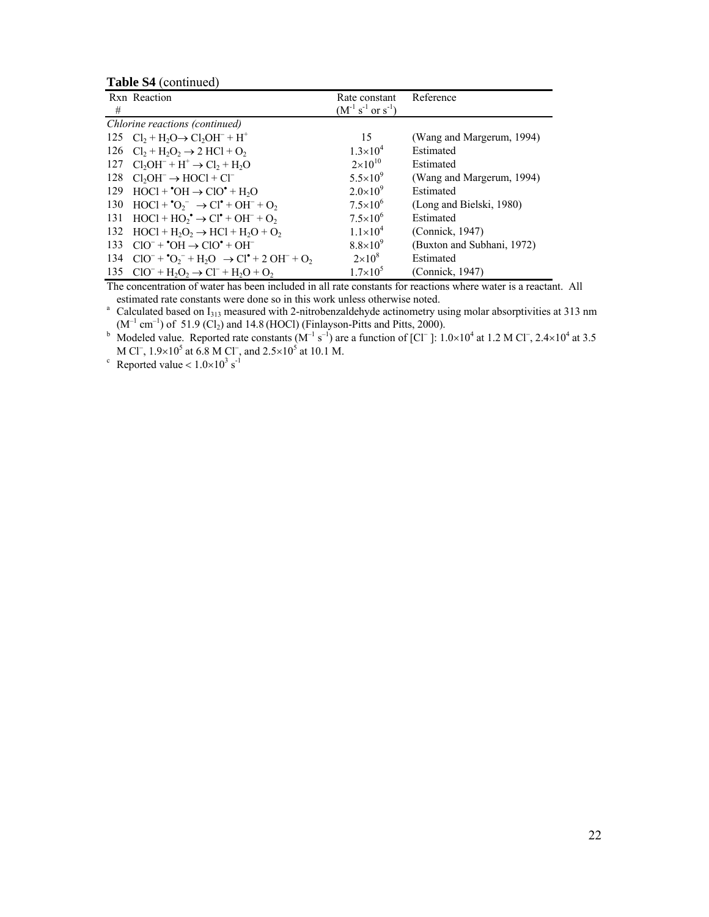**Table S4** (continued)

|     | Rxn Reaction                                                                                                     | Rate constant                 | Reference                  |
|-----|------------------------------------------------------------------------------------------------------------------|-------------------------------|----------------------------|
| #   |                                                                                                                  | $(M^{-1} s^{-1}$ or $s^{-1})$ |                            |
|     | Chlorine reactions (continued)                                                                                   |                               |                            |
|     | 125 $Cl_2 + H_2O \rightarrow Cl_2OH^- + H^+$                                                                     | 15                            | (Wang and Margerum, 1994)  |
| 126 | $Cl_2 + H_2O_2 \rightarrow 2 HCl + O_2$                                                                          | $1.3\times10^{4}$             | Estimated                  |
| 127 | $Cl_2OH^- + H^+ \rightarrow Cl_2 + H_2O$                                                                         | $2\times10^{10}$              | Estimated                  |
| 128 | $Cl_2OH^- \rightarrow HOCl + Cl^-$                                                                               | $5.5 \times 10^{9}$           | (Wang and Margerum, 1994)  |
| 129 | $HOCl + OH \rightarrow ClO^{\bullet} + H2O$                                                                      | $2.0\times10^{9}$             | Estimated                  |
| 130 | $HOCI + O2- \rightarrow Cl* + OH- + O2$                                                                          | $7.5 \times 10^{6}$           | (Long and Bielski, 1980)   |
| 131 | $HOCI + HO2* \rightarrow Cl* + OH- + O2$                                                                         | $7.5 \times 10^{6}$           | Estimated                  |
|     | 132 HOCl + $H_2O_2 \rightarrow HCl + H_2O + O_2$                                                                 | $1.1 \times 10^{4}$           | (Connick, 1947)            |
| 133 | $ClO^{-}$ + $^{\bullet}OH \rightarrow ClO^{\bullet}$ + OH <sup>-</sup>                                           | $8.8\times10^{9}$             | (Buxton and Subhani, 1972) |
| 134 | $ClO^{-}$ + ${}^{4}O_{2}^{-}$ + H <sub>2</sub> O $\rightarrow Cl^{\bullet}$ + 2 OH <sup>-</sup> + O <sub>2</sub> | $2\times10^8$                 | Estimated                  |
|     | 135 $ClO^{-} + H_2O_2 \rightarrow Cl^{-} + H_2O + O_2$                                                           | $1.7\times10^{5}$             | (Connick, 1947)            |

The concentration of water has been included in all rate constants for reactions where water is a reactant. All

estimated rate constants were done so in this work unless otherwise noted.<br>a Calculated based on  $I_{313}$  measured with 2-nitrobenzaldehyde actinometry using molar absorptivities at 313 nm (M<sup>-1</sup> cm<sup>-1</sup>) of 51.9 (Cl<sub>2</sub>) and 14.8 (HOCl) (Finlayson-Pitts and Pitts, 2000).<br><sup>b</sup> Modeled value. Reported rate constants (M<sup>-1</sup> s<sup>-1</sup>) are a function of [Cl<sup>-</sup>]: 1.0×10<sup>4</sup> at 1.2 M Cl<sup>-</sup>, 2.4×10<sup>4</sup> at 3.5

M Cl<sup>−</sup>, 1.9×10<sup>5</sup> at 6.8 M Cl<sup>−</sup>, and 2.5×10<sup>5</sup> at 10.1 M.<br><sup>c</sup> Reported value <  $1.0 \times 10^{3}$  s<sup>-1</sup>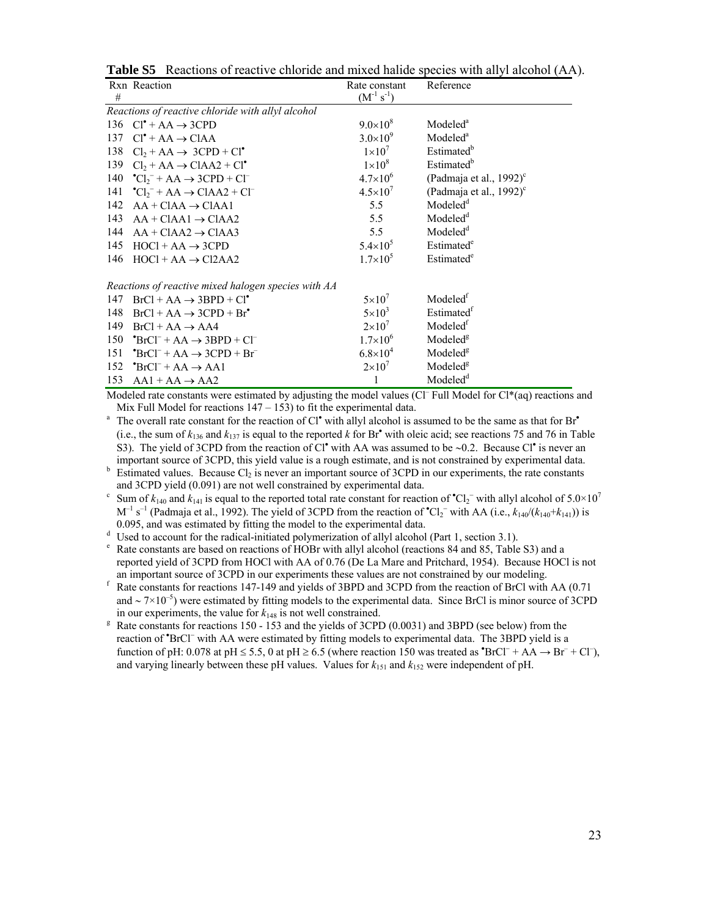|     | Rxn Reaction                                                   | Rate constant       | Reference                              |
|-----|----------------------------------------------------------------|---------------------|----------------------------------------|
| #   |                                                                | $(M^{-1} s^{-1})$   |                                        |
|     | Reactions of reactive chloride with allyl alcohol              |                     |                                        |
|     | 136 $Cl^* + AA \rightarrow 3CPD$                               | $9.0\times10^{8}$   | Modeled <sup>a</sup>                   |
| 137 | $Cl^{\bullet} + AA \rightarrow CIAA$                           | $3.0\times10^{9}$   | Modeled <sup>a</sup>                   |
| 138 | $Cl_2 + AA \rightarrow 3CPD + Cl^{\bullet}$                    | $1\times10^7$       | Estimated <sup>b</sup>                 |
| 139 | $Cl_2 + AA \rightarrow ClAA2 + Cl^{\bullet}$                   | $1\times10^8$       | Estimated <sup>b</sup>                 |
| 140 | $^{\bullet}Cl_{2}^-$ + AA $\rightarrow$ 3CPD + Cl <sup>-</sup> | $4.7 \times 10^{6}$ | (Padmaja et al., $1992$ ) <sup>c</sup> |
| 141 | $^{\bullet}Cl_{2}^{-}+AA\rightarrow CIAA2+Cl^{-}$              | $4.5 \times 10^{7}$ | (Padmaja et al., 1992) <sup>c</sup>    |
| 142 | $AA + CIAA \rightarrow CIAA1$                                  | 5.5                 | Modeled <sup>d</sup>                   |
| 143 | $AA + CIAA1 \rightarrow CIAA2$                                 | 5.5                 | Modeled <sup>d</sup>                   |
| 144 | $AA + CIAA2 \rightarrow CIAA3$                                 | 5.5                 | Modeled <sup>d</sup>                   |
| 145 | $HOC1 + AA \rightarrow 3CPD$                                   | $5.4 \times 10^{5}$ | Estimated <sup>e</sup>                 |
| 146 | $HOCI + AA \rightarrow Cl2AA2$                                 | $1.7\times10^{5}$   | Estimated <sup>e</sup>                 |
|     |                                                                |                     |                                        |
|     | Reactions of reactive mixed halogen species with AA            |                     |                                        |
| 147 | $BrCl + AA \rightarrow 3BPD + Cl^{\bullet}$                    | $5\times10^7$       | Modeled <sup>1</sup>                   |
| 148 | $BrCl + AA \rightarrow 3CPD + Br^{\bullet}$                    | $5\times10^3$       | Estimated <sup>1</sup>                 |
| 149 | $BrCl + AA \rightarrow AA4$                                    | $2\times10^7$       | Modeled <sup>1</sup>                   |

**Table S5** Reactions of reactive chloride and mixed halide species with allyl alcohol (AA).

Modeled rate constants were estimated by adjusting the model values (Cl<sup>-</sup>Full Model for Cl<sup>\*</sup>(aq) reactions and Mix Full Model for reactions  $147 - 153$ ) to fit the experimental data.

 $1.7\times10^6$  Modeled<sup>g</sup>

 $6.8\times10^4$  Modeled<sup>g</sup>

Modeled<sup>g</sup>

The overall rate constant for the reaction of Cl<sup>•</sup> with allyl alcohol is assumed to be the same as that for Br<sup>•</sup> (i.e., the sum of  $k_{136}$  and  $k_{137}$  is equal to the reported *k* for Br<sup>•</sup> with oleic acid; see reactions 75 and 76 in Table S3). The yield of 3CPD from the reaction of Cl<sup>•</sup> with AA was assumed to be ∼0.2. Because Cl<sup>•</sup> is never an

important source of 3CPD, this yield value is a rough estimate, and is not constrained by experimental data.  $\frac{b}{c}$  Estimated values. Because Cl<sub>2</sub> is never an important source of 3CPD in our experiments, the rate cons and  $3CPD$  yield  $(0.091)$  are not well constrained by experimental data.

Sum of  $k_{140}$  and  $k_{141}$  is equal to the reported total rate constant for reaction of  $^{\bullet}Cl_2^-$  with allyl alcohol of 5.0×10<sup>7</sup>  $M^{-1}$  s<sup>-1</sup> (Padmaja et al., 1992). The yield of 3CPD from the reaction of  $^{\bullet}Cl_2^-$  with AA (i.e.,  $k_{140}/(k_{140}+k_{141})$ ) is 0.095, and was estimated by fitting the model to the experimental data.

<sup>d</sup> Used to account for the radical-initiated polymerization of allyl alcohol (Part 1, section 3.1).

152 • BrCl<sup>−</sup> + AA → AA1 2×10<sup>7</sup> Modeled<sup>g</sup>

153  $AA1 + AA \rightarrow AA2$  1 Modeled<sup>d</sup>

150  $^{\circ}BrCl^{-} + AA \rightarrow 3BPD + Cl^{-}$ 

151 •  $BrCl^- + AA \rightarrow 3CPD + Br^-$ 

e Rate constants are based on reactions of HOBr with allyl alcohol (reactions 84 and 85, Table S3) and a reported yield of 3CPD from HOCl with AA of 0.76 (De La Mare and Pritchard, 1954). Because HOCl is not

an important source of 3CPD in our experiments these values are not constrained by our modeling.<br><sup>f</sup> Rate constants for reactions 147-149 and yields of 3BPD and 3CPD from the reaction of BrCl with AA (0.71) and ∼ 7×10<sup>-5</sup>) were estimated by fitting models to the experimental data. Since BrCl is minor source of 3CPD in our experiments, the value for  $k_{148}$  is not well constrained.

<sup>8</sup> Rate constants for reactions 150 - 153 and the yields of 3CPD (0.0031) and 3BPD (see below) from the reaction of <sup>•</sup>BrCl<sup>−</sup> with AA were estimated by fitting models to experimental data. The 3BPD yield is a function of pH: 0.078 at pH ≤ 5.5, 0 at pH ≥ 6.5 (where reaction 150 was treated as  ${}^{\bullet}BrCl^{-} + AA \rightarrow Br^{-} + Cl^{-}$ ), and varying linearly between these pH values. Values for  $k_{151}$  and  $k_{152}$  were independent of pH.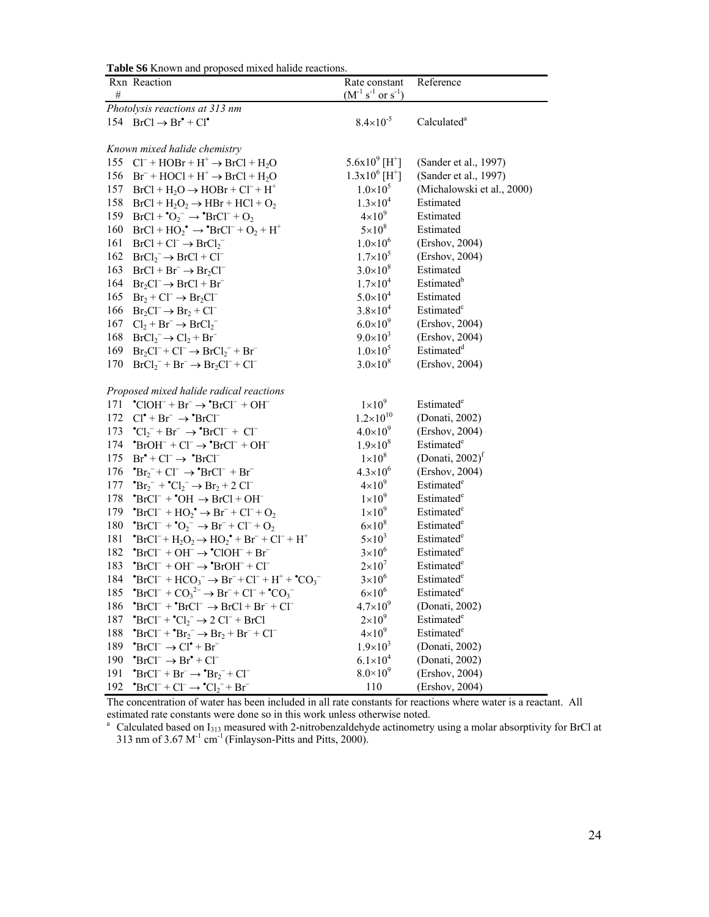**Table S6** Known and proposed mixed halide reactions.

|                                | Rxn Reaction                                                                                                    | Rate constant                  | Reference                  |  |  |
|--------------------------------|-----------------------------------------------------------------------------------------------------------------|--------------------------------|----------------------------|--|--|
| #                              |                                                                                                                 | $(M^{-1} s^{-1}$ or $s^{-1})$  |                            |  |  |
| Photolysis reactions at 313 nm |                                                                                                                 |                                |                            |  |  |
|                                | 154 $BrCl \rightarrow Br^{\bullet} + Cl^{\bullet}$                                                              | $8.4 \times 10^{-5}$           | Calculated <sup>a</sup>    |  |  |
|                                |                                                                                                                 |                                |                            |  |  |
|                                | Known mixed halide chemistry                                                                                    |                                |                            |  |  |
| 155                            | $Cl^-$ + HOBr + H <sup>+</sup> $\rightarrow$ BrCl + H <sub>2</sub> O                                            | $5.6x10^{9}$ [H <sup>+</sup> ] | (Sander et al., 1997)      |  |  |
| 156                            | $Br^- + HOCl + H^+ \rightarrow BrCl + H_2O$                                                                     | $1.3x10^6$ [H <sup>+</sup> ]   | (Sander et al., 1997)      |  |  |
| 157                            | $BrCl + H2O \rightarrow HOBr + Cl^- + H^+$                                                                      | $1.0\times10^{5}$              | (Michalowski et al., 2000) |  |  |
| 158                            | $BrCl + H2O2 \rightarrow HBr + HCl + O2$                                                                        | $1.3 \times 10^{4}$            | Estimated                  |  |  |
| 159                            | $BrCl + {}^{\bullet}O_2^- \rightarrow {}^{\bullet}BrCl^- + O_2$                                                 | $4\times10^9$                  | Estimated                  |  |  |
| 160                            | $BrCl + HO2* \rightarrow "BrCl^- + O2 + H+$                                                                     | $5\times10^8$                  | Estimated                  |  |  |
| 161                            | $BrCl + Cl^- \rightarrow BrCl_2^-$                                                                              | $1.0\times10^{6}$              | (Ershov, 2004)             |  |  |
| 162                            | $BrCl2- \rightarrow BrCl + Cl-$                                                                                 | $1.7\times10^{5}$              | (Ershov, 2004)             |  |  |
| 163                            | $BrCl + Br^- \rightarrow Br_2Cl^-$                                                                              | $3.0\times10^{8}$              | Estimated                  |  |  |
| 164                            | $Br_2Cl^- \rightarrow BrCl + Br^-$                                                                              | $1.7\times10^{4}$              | Estimated <sup>b</sup>     |  |  |
| 165                            | $Br_2 + Cl^- \rightarrow Br_2Cl^-$                                                                              | $5.0\times10^{4}$              | Estimated                  |  |  |
| 166                            | $Br_2Cl^- \rightarrow Br_2 + Cl^-$                                                                              | $3.8 \times 10^{4}$            | Estimated <sup>c</sup>     |  |  |
| 167                            | $Cl_2 + Br^- \rightarrow BrCl_2^-$                                                                              | $6.0\times10^{9}$              | (Ershov, 2004)             |  |  |
| 168                            | $BrCl2- \rightarrow Cl2 + Br-$                                                                                  | $9.0\times10^{3}$              | (Ershov, 2004)             |  |  |
| 169                            | $Br_2Cl^-$ + $Cl^ \rightarrow$ $BrCl_2^-$ + $Br^-$                                                              | $1.0\times10^{5}$              | Estimated <sup>d</sup>     |  |  |
| 170                            | $BrCl2- + Br- \rightarrow Br2Cl- + Cl-$                                                                         | $3.0\times10^{8}$              | (Ershov, 2004)             |  |  |
|                                |                                                                                                                 |                                |                            |  |  |
|                                | Proposed mixed halide radical reactions                                                                         |                                |                            |  |  |
| 171                            | $^{\bullet}$ ClOH $^-$ + Br $^ \rightarrow$ $^{\bullet}$ BrCl $^-$ + OH $^-$                                    | $1\times10^9$                  | Estimated <sup>e</sup>     |  |  |
|                                | 172 $Cl^{\bullet} + Br^{-} \rightarrow {}^{\bullet}BrCl^{-}$                                                    | $1.2\times10^{10}$             | (Donati, 2002)             |  |  |
| 173                            | $^{\bullet}Cl_{2}^{-}+Br^{-} \rightarrow ^{\bullet}BrCl^{-}+Cl^{-}$                                             | $4.0\times10^{9}$              | (Ershov, 2004)             |  |  |
| 174                            | $^{\bullet}BrOH^{-}+Cl^{-} \rightarrow ^{\bullet}BrCl^{-}+OH^{-}$                                               | $1.9\times10^{8}$              | Estimated <sup>e</sup>     |  |  |
| 175                            | $Br^{\bullet} + Cl^{-} \rightarrow \text{ }^{\bullet}BrCl^{-}$                                                  | $1\times10^8$                  | (Donati, 2002) $f$         |  |  |
| 176                            | $^{\bullet}Br_2^-$ + Cl <sup>-</sup> $\rightarrow$ $^{\bullet}BrCl^-$ + Br <sup>-</sup>                         | $4.3 \times 10^{6}$            | (Ershov, 2004)             |  |  |
| 177                            | ${}^{\bullet}Br_2^-$ + ${}^{\bullet}Cl_2^ \rightarrow$ $Br_2$ + 2 Cl <sup>-</sup>                               | $4\times10^9$                  | Estimated <sup>e</sup>     |  |  |
| 178                            | $^{\bullet}BrCl^{-}$ + $^{\bullet}OH \rightarrow BrCl + OH^{-}$                                                 | $1\times10^9$                  | Estimated <sup>e</sup>     |  |  |
| 179                            | $\text{BrCl}^-$ + HO <sub>2</sub> <sup>•</sup> $\rightarrow$ Br <sup>-</sup> + Cl <sup>-</sup> + O <sub>2</sub> | $1\times10^9$                  | Estimated <sup>e</sup>     |  |  |
| 180                            | $^{\bullet}BrCl^{-}$ + $^{\bullet}O_{2}^{-}$ $\rightarrow$ Br <sup>-</sup> + Cl <sup>-</sup> + O <sub>2</sub>   | $6\times10^8$                  | Estimated <sup>e</sup>     |  |  |
| 181                            | $BrCl^{-} + H_2O_2 \rightarrow HO_2^{\bullet} + Br^{-} + Cl^{-} + H^{+}$                                        | $5\times10^3$                  | Estimated <sup>e</sup>     |  |  |
| 182                            | $^{\bullet}BrCl^{-} + OH^{-} \rightarrow \mathrm{^{\bullet}ClOH^{-}} + Br^{-}$                                  | $3\times10^6$                  | Estimated <sup>e</sup>     |  |  |
| 183                            | $^{\bullet}BrCl^{-} + OH^{-} \rightarrow \mathrm{^{\bullet}BrOH^{-}} + Cl^{-}$                                  | $2\times10^7$                  | Estimated <sup>e</sup>     |  |  |
| 184                            | $^{\bullet}BrCl^{-} + HCO_{3}^{-} \rightarrow Br^{-} + Cl^{-} + H^{+} + ^{\bullet}CO_{3}^{-}$                   | $3\times10^6$                  | Estimated <sup>e</sup>     |  |  |
|                                | 185 ${}^{4}BrCl^{-} + CO_{3}^{2-} \rightarrow Br^{-} + Cl^{-} + {}^{4}CO_{3}^{-}$                               | $6\times10^6$                  | Estimated <sup>e</sup>     |  |  |
| 186                            | $^{\bullet}BrCl^{-}$ + $^{\bullet}BrCl^{-}$ $\rightarrow$ BrCl + Br <sup>-</sup> + Cl <sup>-</sup>              | $4.7 \times 10^{9}$            | (Donati, 2002)             |  |  |
| 187                            | $^{\bullet}BrCl^{-}$ + $^{\bullet}Cl_{2}^{-}$ $\rightarrow$ 2 Cl <sup>-</sup> + BrCl                            | $2\times10^9$                  | Estimated <sup>e</sup>     |  |  |
| 188                            | ${}^{\bullet}BrCl^{-} + {}^{\bullet}Br_{2}^{-} \rightarrow Br_{2} + Br^{-} + Cl^{-}$                            | $4\times10^9$                  | Estimated <sup>e</sup>     |  |  |
| 189                            | ${}^{\bullet}BrCl^{-} \rightarrow Cl^{\bullet} + Br^{-}$                                                        | $1.9\times10^{3}$              | (Donati, 2002)             |  |  |
| 190                            | ${}^{\bullet}BrCl^{-} \rightarrow Br^{\bullet} + Cl^{-}$                                                        | $6.1 \times 10^{4}$            | (Donati, 2002)             |  |  |
| 191                            | $^{\bullet}BrCl^{-} + Br^{-} \rightarrow \mathbf{^{\bullet}Br_{2}^{-}} + Cl^{-}$                                | $8.0 \times 10^{9}$            | (Ershov, 2004)             |  |  |
| 192                            | $^{\bullet}BrCl^{-}+Cl^{-} \rightarrow ^{\bullet}Cl_{2}^{-}+Br^{-}$                                             | 110                            | (Ershov, 2004)             |  |  |

The concentration of water has been included in all rate constants for reactions where water is a reactant. All estimated rate constants were done so in this work unless otherwise noted.

 $a$  Calculated based on  $I_{313}$  measured with 2-nitrobenzaldehyde actinometry using a molar absorptivity for BrCl at 313 nm of 3.67  $M^{-1}$  cm<sup>-1</sup> (Finlayson-Pitts and Pitts, 2000).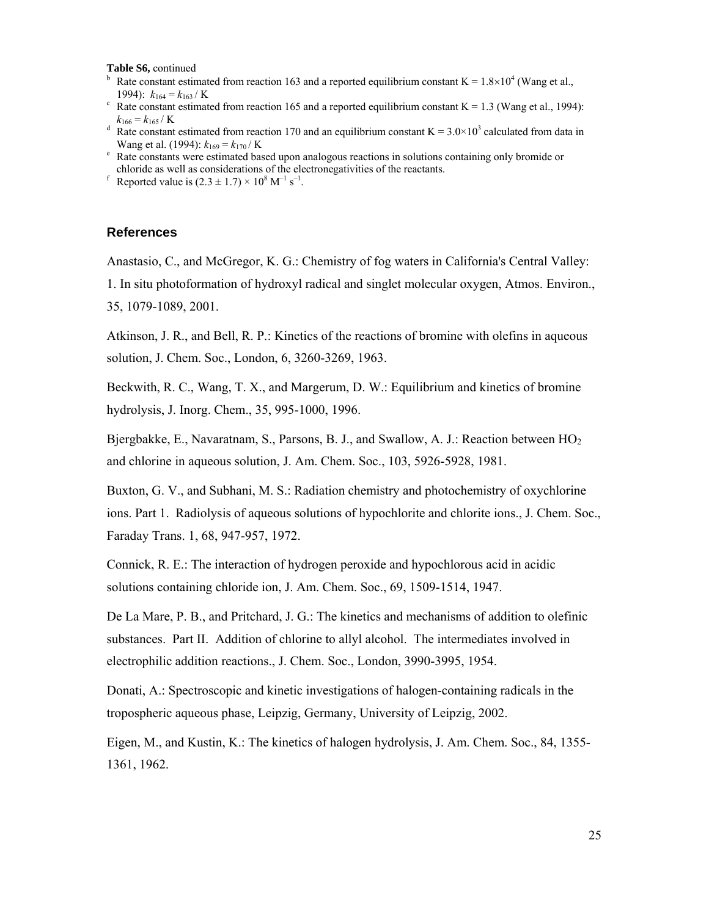- **Table S6,** continued<br><sup>b</sup> Rate constant estimated from reaction 163 and a reported equilibrium constant K =  $1.8 \times 10^4$  (Wang et al., 1994):  $k_{164} = k_{163} / K$ <br><sup>c</sup> Rate constant estimated from reaction 165 and a reported equilibrium constant K = 1.3 (Wang et al., 1994):
- $k_{166} = k_{165}$  / K<br><sup>d</sup> Rate constant estimated from reaction 170 and an equilibrium constant K = 3.0×10<sup>3</sup> calculated from data in
- Wang et al. (1994):  $k_{169} = k_{170} / K$
- <sup>e</sup> Rate constants were estimated based upon analogous reactions in solutions containing only bromide or chloride as well as considerations of the electronegativities of the reactants.
- Reported value is  $(2.3 \pm 1.7) \times 10^8$  M<sup>-1</sup> s<sup>-1</sup>.

#### **References**

Anastasio, C., and McGregor, K. G.: Chemistry of fog waters in California's Central Valley: 1. In situ photoformation of hydroxyl radical and singlet molecular oxygen, Atmos. Environ., 35, 1079-1089, 2001.

Atkinson, J. R., and Bell, R. P.: Kinetics of the reactions of bromine with olefins in aqueous solution, J. Chem. Soc., London, 6, 3260-3269, 1963.

Beckwith, R. C., Wang, T. X., and Margerum, D. W.: Equilibrium and kinetics of bromine hydrolysis, J. Inorg. Chem., 35, 995-1000, 1996.

Bjergbakke, E., Navaratnam, S., Parsons, B. J., and Swallow, A. J.: Reaction between HO2 and chlorine in aqueous solution, J. Am. Chem. Soc., 103, 5926-5928, 1981.

Buxton, G. V., and Subhani, M. S.: Radiation chemistry and photochemistry of oxychlorine ions. Part 1. Radiolysis of aqueous solutions of hypochlorite and chlorite ions., J. Chem. Soc., Faraday Trans. 1, 68, 947-957, 1972.

Connick, R. E.: The interaction of hydrogen peroxide and hypochlorous acid in acidic solutions containing chloride ion, J. Am. Chem. Soc., 69, 1509-1514, 1947.

De La Mare, P. B., and Pritchard, J. G.: The kinetics and mechanisms of addition to olefinic substances. Part II. Addition of chlorine to allyl alcohol. The intermediates involved in electrophilic addition reactions., J. Chem. Soc., London, 3990-3995, 1954.

Donati, A.: Spectroscopic and kinetic investigations of halogen-containing radicals in the tropospheric aqueous phase, Leipzig, Germany, University of Leipzig, 2002.

Eigen, M., and Kustin, K.: The kinetics of halogen hydrolysis, J. Am. Chem. Soc., 84, 1355- 1361, 1962.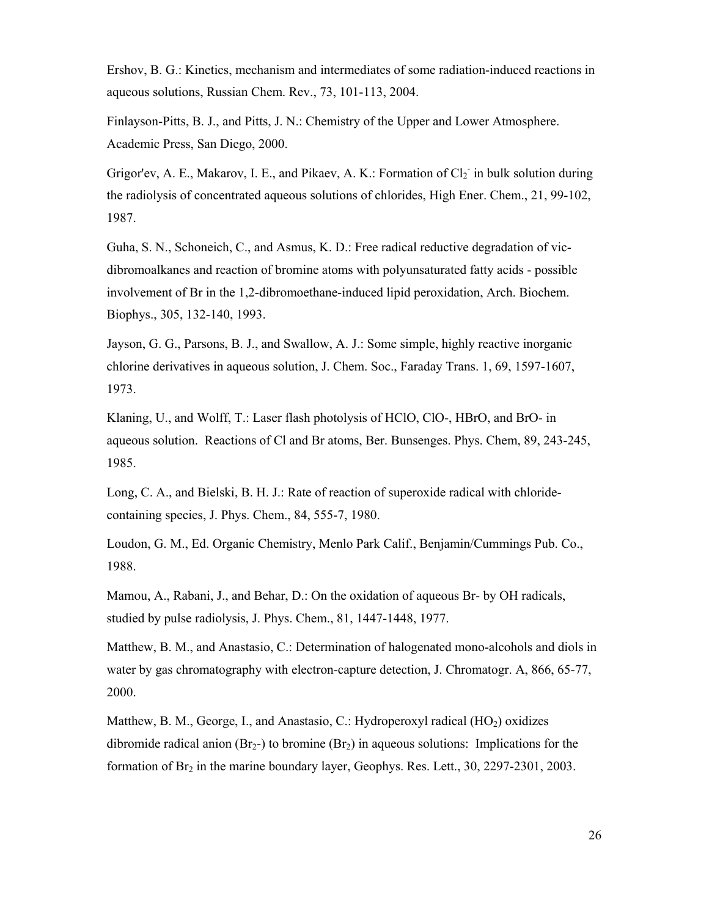Ershov, B. G.: Kinetics, mechanism and intermediates of some radiation-induced reactions in aqueous solutions, Russian Chem. Rev., 73, 101-113, 2004.

Finlayson-Pitts, B. J., and Pitts, J. N.: Chemistry of the Upper and Lower Atmosphere. Academic Press, San Diego, 2000.

Grigor'ev, A. E., Makarov, I. E., and Pikaev, A. K.: Formation of Cl<sub>2</sub> in bulk solution during the radiolysis of concentrated aqueous solutions of chlorides, High Ener. Chem., 21, 99-102, 1987.

Guha, S. N., Schoneich, C., and Asmus, K. D.: Free radical reductive degradation of vicdibromoalkanes and reaction of bromine atoms with polyunsaturated fatty acids - possible involvement of Br in the 1,2-dibromoethane-induced lipid peroxidation, Arch. Biochem. Biophys., 305, 132-140, 1993.

Jayson, G. G., Parsons, B. J., and Swallow, A. J.: Some simple, highly reactive inorganic chlorine derivatives in aqueous solution, J. Chem. Soc., Faraday Trans. 1, 69, 1597-1607, 1973.

Klaning, U., and Wolff, T.: Laser flash photolysis of HClO, ClO-, HBrO, and BrO- in aqueous solution. Reactions of Cl and Br atoms, Ber. Bunsenges. Phys. Chem, 89, 243-245, 1985.

Long, C. A., and Bielski, B. H. J.: Rate of reaction of superoxide radical with chloridecontaining species, J. Phys. Chem., 84, 555-7, 1980.

Loudon, G. M., Ed. Organic Chemistry, Menlo Park Calif., Benjamin/Cummings Pub. Co., 1988.

Mamou, A., Rabani, J., and Behar, D.: On the oxidation of aqueous Br- by OH radicals, studied by pulse radiolysis, J. Phys. Chem., 81, 1447-1448, 1977.

Matthew, B. M., and Anastasio, C.: Determination of halogenated mono-alcohols and diols in water by gas chromatography with electron-capture detection, J. Chromatogr. A, 866, 65-77, 2000.

Matthew, B. M., George, I., and Anastasio, C.: Hydroperoxyl radical  $(HO<sub>2</sub>)$  oxidizes dibromide radical anion  $(Br_2)$  to bromine  $(Br_2)$  in aqueous solutions: Implications for the formation of  $Br_2$  in the marine boundary layer, Geophys. Res. Lett., 30, 2297-2301, 2003.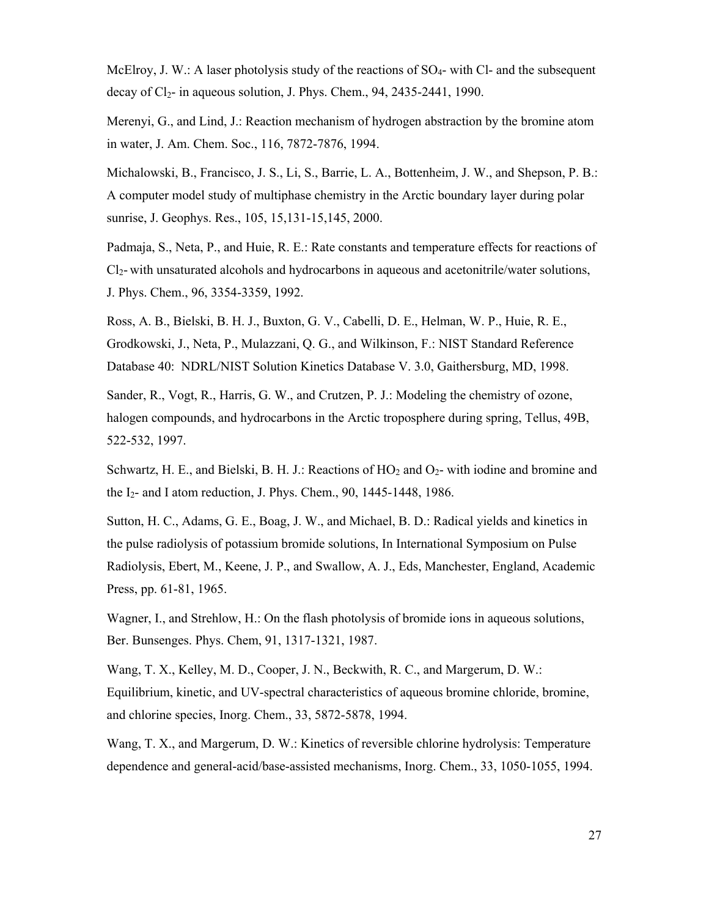McElroy, J. W.: A laser photolysis study of the reactions of  $SO_4$ - with Cl- and the subsequent decay of  $Cl<sub>2</sub>$ - in aqueous solution, J. Phys. Chem., 94, 2435-2441, 1990.

Merenyi, G., and Lind, J.: Reaction mechanism of hydrogen abstraction by the bromine atom in water, J. Am. Chem. Soc., 116, 7872-7876, 1994.

Michalowski, B., Francisco, J. S., Li, S., Barrie, L. A., Bottenheim, J. W., and Shepson, P. B.: A computer model study of multiphase chemistry in the Arctic boundary layer during polar sunrise, J. Geophys. Res., 105, 15,131-15,145, 2000.

Padmaja, S., Neta, P., and Huie, R. E.: Rate constants and temperature effects for reactions of Cl2- with unsaturated alcohols and hydrocarbons in aqueous and acetonitrile/water solutions, J. Phys. Chem., 96, 3354-3359, 1992.

Ross, A. B., Bielski, B. H. J., Buxton, G. V., Cabelli, D. E., Helman, W. P., Huie, R. E., Grodkowski, J., Neta, P., Mulazzani, Q. G., and Wilkinson, F.: NIST Standard Reference Database 40: NDRL/NIST Solution Kinetics Database V. 3.0, Gaithersburg, MD, 1998.

Sander, R., Vogt, R., Harris, G. W., and Crutzen, P. J.: Modeling the chemistry of ozone, halogen compounds, and hydrocarbons in the Arctic troposphere during spring, Tellus, 49B, 522-532, 1997.

Schwartz, H. E., and Bielski, B. H. J.: Reactions of  $HO_2$  and  $O_2$ - with iodine and bromine and the I2- and I atom reduction, J. Phys. Chem., 90, 1445-1448, 1986.

Sutton, H. C., Adams, G. E., Boag, J. W., and Michael, B. D.: Radical yields and kinetics in the pulse radiolysis of potassium bromide solutions, In International Symposium on Pulse Radiolysis, Ebert, M., Keene, J. P., and Swallow, A. J., Eds, Manchester, England, Academic Press, pp. 61-81, 1965.

Wagner, I., and Strehlow, H.: On the flash photolysis of bromide ions in aqueous solutions, Ber. Bunsenges. Phys. Chem, 91, 1317-1321, 1987.

Wang, T. X., Kelley, M. D., Cooper, J. N., Beckwith, R. C., and Margerum, D. W.: Equilibrium, kinetic, and UV-spectral characteristics of aqueous bromine chloride, bromine, and chlorine species, Inorg. Chem., 33, 5872-5878, 1994.

Wang, T. X., and Margerum, D. W.: Kinetics of reversible chlorine hydrolysis: Temperature dependence and general-acid/base-assisted mechanisms, Inorg. Chem., 33, 1050-1055, 1994.